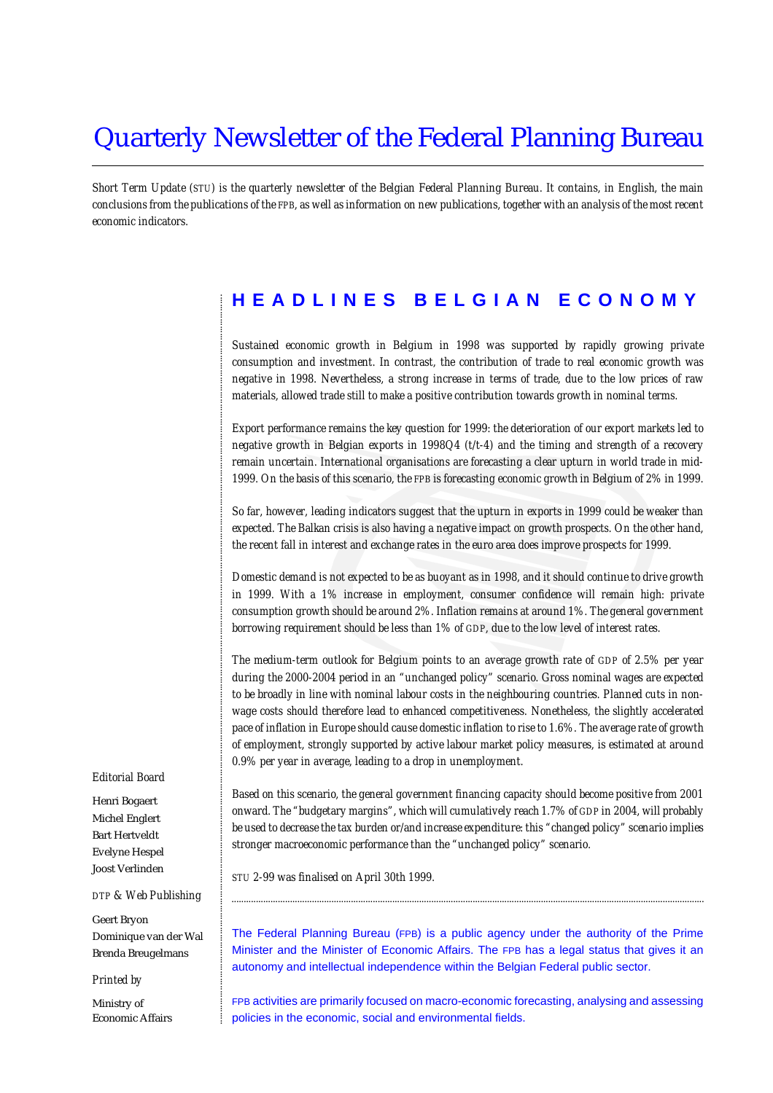# Quarterly Newsletter of the Federal Planning Bureau

*Short Term Update (STU) is the quarterly newsletter of the Belgian Federal Planning Bureau. It contains, in English, the main conclusions from the publications of the FPB, as well as information on new publications, together with an analysis of the most recent economic indicators.*

# **HEADLINES BELGIAN ECONOMY**

*Sustained economic growth in Belgium in 1998 was supported by rapidly growing private consumption and investment. In contrast, the contribution of trade to real economic growth was negative in 1998. Nevertheless, a strong increase in terms of trade, due to the low prices of raw materials, allowed trade still to make a positive contribution towards growth in nominal terms.*

*Export performance remains the key question for 1999: the deterioration of our export markets led to negative growth in Belgian exports in 1998Q4 (t/t-4) and the timing and strength of a recovery remain uncertain. International organisations are forecasting a clear upturn in world trade in mid-1999. On the basis of this scenario, the FPB is forecasting economic growth in Belgium of 2% in 1999.*

*So far, however, leading indicators suggest that the upturn in exports in 1999 could be weaker than expected. The Balkan crisis is also having a negative impact on growth prospects. On the other hand, the recent fall in interest and exchange rates in the euro area does improve prospects for 1999.*

*Domestic demand is not expected to be as buoyant as in 1998, and it should continue to drive growth in 1999. With a 1% increase in employment, consumer confidence will remain high: private consumption growth should be around 2%. Inflation remains at around 1%. The general government borrowing requirement should be less than 1% of GDP, due to the low level of interest rates.*

*The medium-term outlook for Belgium points to an average growth rate of GDP of 2.5% per year during the 2000-2004 period in an "unchanged policy" scenario. Gross nominal wages are expected to be broadly in line with nominal labour costs in the neighbouring countries. Planned cuts in nonwage costs should therefore lead to enhanced competitiveness. Nonetheless, the slightly accelerated pace of inflation in Europe should cause domestic inflation to rise to 1.6%. The average rate of growth of employment, strongly supported by active labour market policy measures, is estimated at around 0.9% per year in average, leading to a drop in unemployment.*

#### *Editorial Board*

............................................................................................................................................................................................................................................................................................................

Henri Bogaert Michel Englert Bart Hertveldt Evelyne Hespel Joost Verlinden

#### *DTP & Web Publishing*

Geert Bryon Dominique van der Wal Brenda Breugelmans

#### *Printed by*

Ministry of Economic Affairs *Based on this scenario, the general government financing capacity should become positive from 2001 onward. The "budgetary margins", which will cumulatively reach 1.7% of GDP in 2004, will probably be used to decrease the tax burden or/and increase expenditure: this "changed policy" scenario implies stronger macroeconomic performance than the "unchanged policy" scenario.*

*STU 2-99 was finalised on April 30th 1999.*

The Federal Planning Bureau (FPB) is a public agency under the authority of the Prime Minister and the Minister of Economic Affairs. The FPB has a legal status that gives it an autonomy and intellectual independence within the Belgian Federal public sector.

..................................................................................................................................................................................................

FPB activities are primarily focused on macro-economic forecasting, analysing and assessing policies in the economic, social and environmental fields.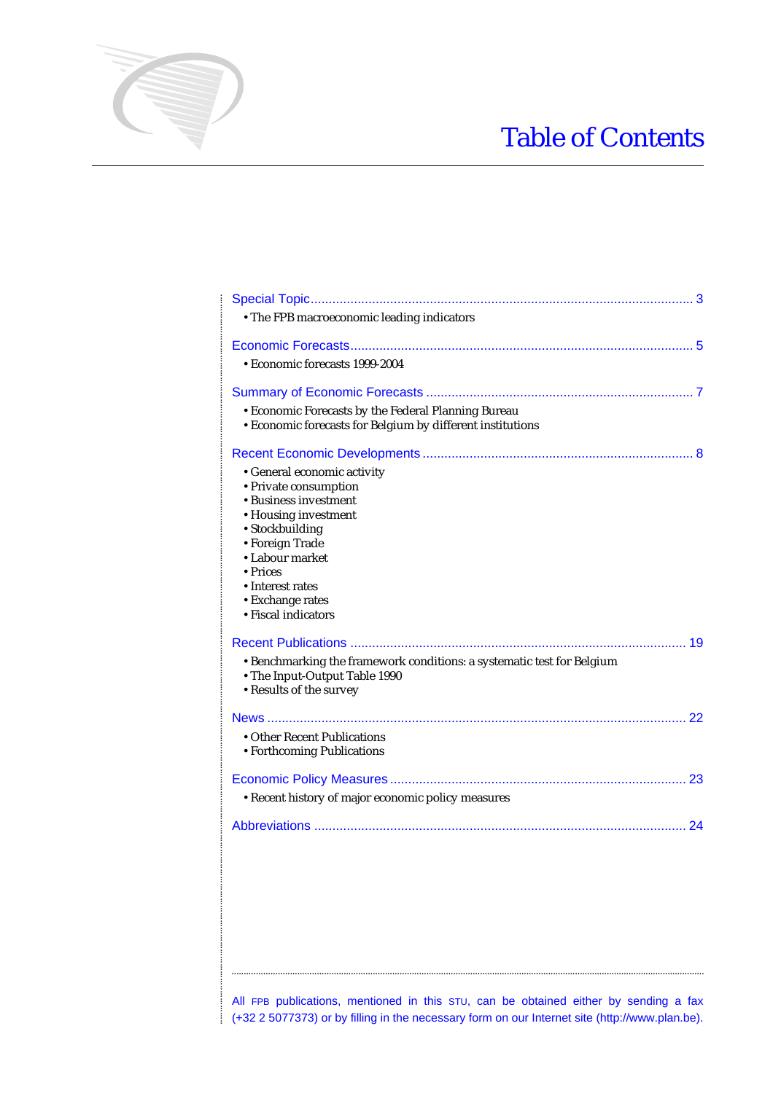# Table of Contents

| • The FPB macroeconomic leading indicators                                                                                                                                                                                                |
|-------------------------------------------------------------------------------------------------------------------------------------------------------------------------------------------------------------------------------------------|
|                                                                                                                                                                                                                                           |
| • Economic forecasts 1999-2004                                                                                                                                                                                                            |
|                                                                                                                                                                                                                                           |
| • Economic Forecasts by the Federal Planning Bureau<br>• Economic forecasts for Belgium by different institutions                                                                                                                         |
|                                                                                                                                                                                                                                           |
| • General economic activity<br>• Private consumption<br>• Business investment<br>• Housing investment<br>• Stockbuilding<br>• Foreign Trade<br>• Labour market<br>• Prices<br>• Interest rates<br>• Exchange rates<br>• Fiscal indicators |
|                                                                                                                                                                                                                                           |
| • Benchmarking the framework conditions: a systematic test for Belgium<br>• The Input-Output Table 1990<br>• Results of the survey                                                                                                        |
|                                                                                                                                                                                                                                           |
| • Other Recent Publications<br>• Forthcoming Publications                                                                                                                                                                                 |
|                                                                                                                                                                                                                                           |
| • Recent history of major economic policy measures                                                                                                                                                                                        |
|                                                                                                                                                                                                                                           |
|                                                                                                                                                                                                                                           |

............................................................................................................................................................................................................................................................................................................

All FPB publications, mentioned in this STU, can be obtained either by sending a fax (+32 2 5077373) or by filling in the necessary form on our Internet site (http://www.plan.be).

..................................................................................................................................................................................................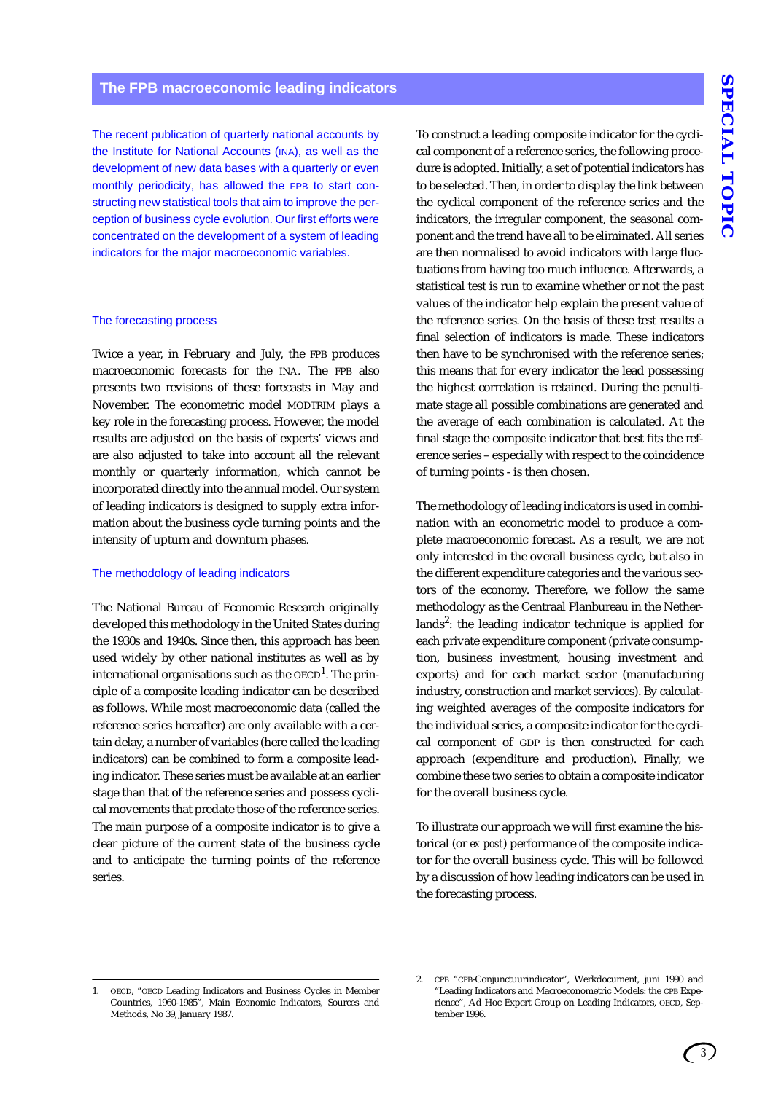The recent publication of quarterly national accounts by the Institute for National Accounts (INA), as well as the development of new data bases with a quarterly or even monthly periodicity, has allowed the FPB to start constructing new statistical tools that aim to improve the perception of business cycle evolution. Our first efforts were concentrated on the development of a system of leading indicators for the major macroeconomic variables.

#### The forecasting process

Twice a year, in February and July, the FPB produces macroeconomic forecasts for the INA. The FPB also presents two revisions of these forecasts in May and November. The econometric model MODTRIM plays a key role in the forecasting process. However, the model results are adjusted on the basis of experts' views and are also adjusted to take into account all the relevant monthly or quarterly information, which cannot be incorporated directly into the annual model. Our system of leading indicators is designed to supply extra information about the business cycle turning points and the intensity of upturn and downturn phases.

#### The methodology of leading indicators

The National Bureau of Economic Research originally developed this methodology in the United States during the 1930s and 1940s. Since then, this approach has been used widely by other national institutes as well as by international organisations such as the  ${\rm OECD}^1.$  The principle of a composite leading indicator can be described as follows. While most macroeconomic data (called the reference series hereafter) are only available with a certain delay, a number of variables (here called the leading indicators) can be combined to form a composite leading indicator. These series must be available at an earlier stage than that of the reference series and possess cyclical movements that predate those of the reference series. The main purpose of a composite indicator is to give a clear picture of the current state of the business cycle and to anticipate the turning points of the reference series.

To construct a leading composite indicator for the cyclical component of a reference series, the following procedure is adopted. Initially, a set of potential indicators has to be selected. Then, in order to display the link between the cyclical component of the reference series and the indicators, the irregular component, the seasonal component and the trend have all to be eliminated. All series are then normalised to avoid indicators with large fluctuations from having too much influence. Afterwards, a statistical test is run to examine whether or not the past values of the indicator help explain the present value of the reference series. On the basis of these test results a final selection of indicators is made. These indicators then have to be synchronised with the reference series; this means that for every indicator the lead possessing the highest correlation is retained. During the penultimate stage all possible combinations are generated and the average of each combination is calculated. At the final stage the composite indicator that best fits the reference series – especially with respect to the coincidence of turning points - is then chosen.

The methodology of leading indicators is used in combination with an econometric model to produce a complete macroeconomic forecast. As a result, we are not only interested in the overall business cycle, but also in the different expenditure categories and the various sectors of the economy. Therefore, we follow the same methodology as the Centraal Planbureau in the Netherlands<sup>2</sup>: the leading indicator technique is applied for each private expenditure component (private consumption, business investment, housing investment and exports) and for each market sector (manufacturing industry, construction and market services). By calculating weighted averages of the composite indicators for the individual series, a composite indicator for the cyclical component of GDP is then constructed for each approach (expenditure and production). Finally, we combine these two series to obtain a composite indicator for the overall business cycle.

To illustrate our approach we will first examine the historical (or *ex post*) performance of the composite indicator for the overall business cycle. This will be followed by a discussion of how leading indicators can be used in the forecasting process.

OECD, "OECD Leading Indicators and Business Cycles in Member Countries, 1960-1985", Main Economic Indicators, Sources and Methods, No 39, January 1987.

<sup>2.</sup> CPB "CPB-Conjunctuurindicator", Werkdocument, juni 1990 and "Leading Indicators and Macroeconometric Models: the CPB Experience", Ad Hoc Expert Group on Leading Indicators, OECD, September 1996.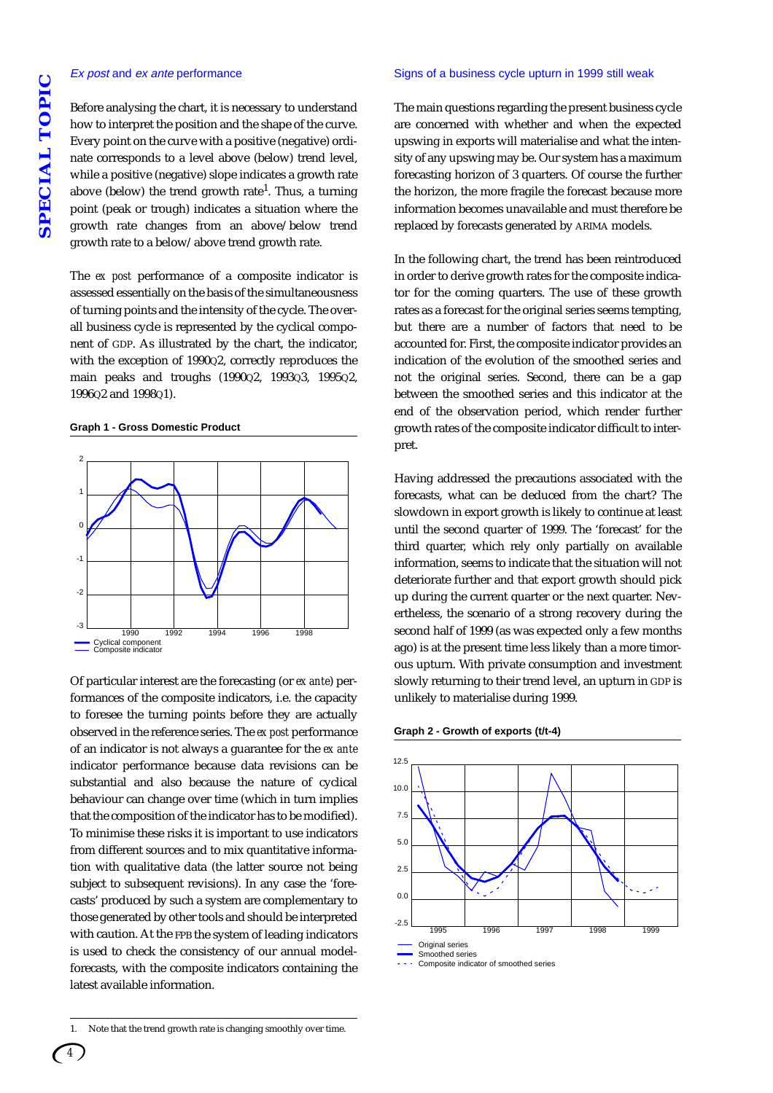#### Ex post and ex ante performance

Before analysing the chart, it is necessary to understand how to interpret the position and the shape of the curve. Every point on the curve with a positive (negative) ordinate corresponds to a level above (below) trend level, while a positive (negative) slope indicates a growth rate above (below) the trend growth rate<sup>1</sup>. Thus, a turning point (peak or trough) indicates a situation where the growth rate changes from an above/below trend growth rate to a below/above trend growth rate.

The *ex post* performance of a composite indicator is assessed essentially on the basis of the simultaneousness of turning points and the intensity of the cycle. The overall business cycle is represented by the cyclical component of GDP. As illustrated by the chart, the indicator, with the exception of 1990Q2, correctly reproduces the main peaks and troughs (1990Q2, 1993Q3, 1995Q2, 1996Q2 and 1998Q1).

#### **Graph 1 - Gross Domestic Product**



Of particular interest are the forecasting (or *ex ante*) performances of the composite indicators, i.e. the capacity to foresee the turning points before they are actually observed in the reference series. The *ex post* performance of an indicator is not always a guarantee for the *ex ante* indicator performance because data revisions can be substantial and also because the nature of cyclical behaviour can change over time (which in turn implies that the composition of the indicator has to be modified). To minimise these risks it is important to use indicators from different sources and to mix quantitative information with qualitative data (the latter source not being subject to subsequent revisions). In any case the 'forecasts' produced by such a system are complementary to those generated by other tools and should be interpreted with caution. At the FPB the system of leading indicators is used to check the consistency of our annual modelforecasts, with the composite indicators containing the latest available information.

#### Signs of a business cycle upturn in 1999 still weak

The main questions regarding the present business cycle are concerned with whether and when the expected upswing in exports will materialise and what the intensity of any upswing may be. Our system has a maximum forecasting horizon of 3 quarters. Of course the further the horizon, the more fragile the forecast because more information becomes unavailable and must therefore be replaced by forecasts generated by ARIMA models.

In the following chart, the trend has been reintroduced in order to derive growth rates for the composite indicator for the coming quarters. The use of these growth rates as a forecast for the original series seems tempting, but there are a number of factors that need to be accounted for. First, the composite indicator provides an indication of the evolution of the smoothed series and not the original series. Second, there can be a gap between the smoothed series and this indicator at the end of the observation period, which render further growth rates of the composite indicator difficult to interpret.

Having addressed the precautions associated with the forecasts, what can be deduced from the chart? The slowdown in export growth is likely to continue at least until the second quarter of 1999. The 'forecast' for the third quarter, which rely only partially on available information, seems to indicate that the situation will not deteriorate further and that export growth should pick up during the current quarter or the next quarter. Nevertheless, the scenario of a strong recovery during the second half of 1999 (as was expected only a few months ago) is at the present time less likely than a more timorous upturn. With private consumption and investment slowly returning to their trend level, an upturn in GDP is unlikely to materialise during 1999.





Composite indicator of smoothed series

<sup>1.</sup> Note that the trend growth rate is changing smoothly over time.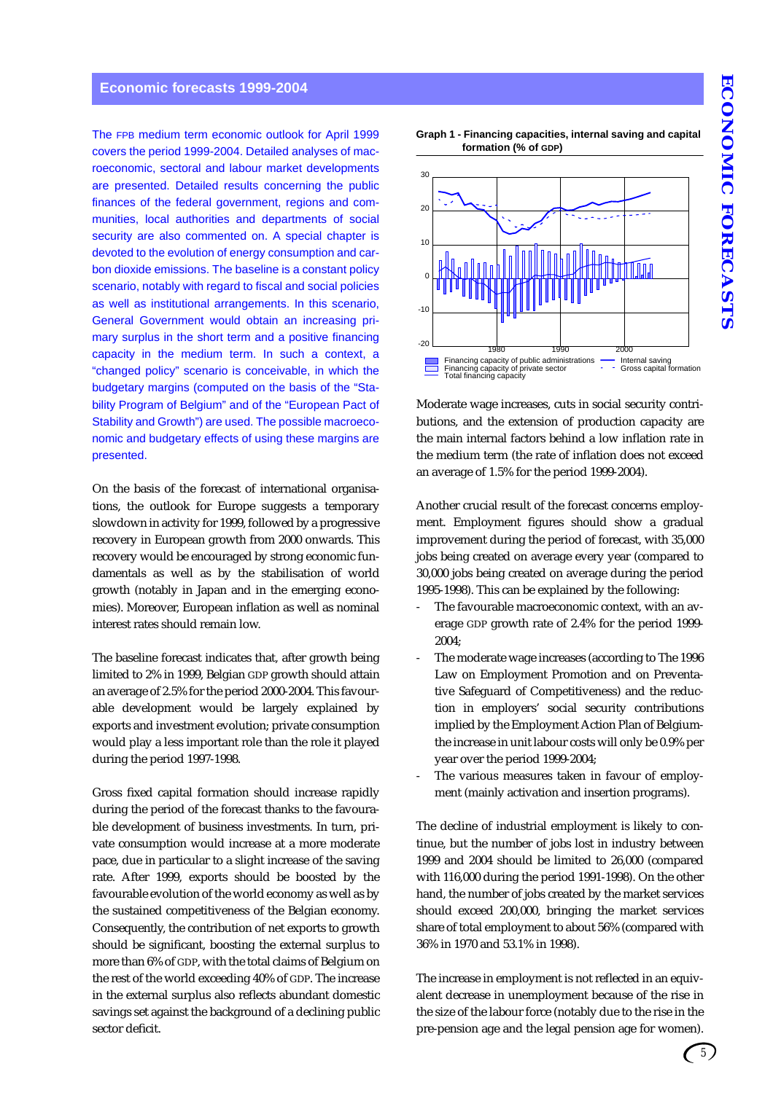# **Economic forecasts 1999-2004**

The FPB medium term economic outlook for April 1999 covers the period 1999-2004. Detailed analyses of macroeconomic, sectoral and labour market developments are presented. Detailed results concerning the public finances of the federal government, regions and communities, local authorities and departments of social security are also commented on. A special chapter is devoted to the evolution of energy consumption and carbon dioxide emissions. The baseline is a constant policy scenario, notably with regard to fiscal and social policies as well as institutional arrangements. In this scenario, General Government would obtain an increasing primary surplus in the short term and a positive financing capacity in the medium term. In such a context, a "changed policy" scenario is conceivable, in which the budgetary margins (computed on the basis of the "Stability Program of Belgium" and of the "European Pact of Stability and Growth") are used. The possible macroeconomic and budgetary effects of using these margins are presented.

On the basis of the forecast of international organisations, the outlook for Europe suggests a temporary slowdown in activity for 1999, followed by a progressive recovery in European growth from 2000 onwards. This recovery would be encouraged by strong economic fundamentals as well as by the stabilisation of world growth (notably in Japan and in the emerging economies). Moreover, European inflation as well as nominal interest rates should remain low.

The baseline forecast indicates that, after growth being limited to 2% in 1999, Belgian GDP growth should attain an average of 2.5% for the period 2000-2004. This favourable development would be largely explained by exports and investment evolution; private consumption would play a less important role than the role it played during the period 1997-1998.

Gross fixed capital formation should increase rapidly during the period of the forecast thanks to the favourable development of business investments. In turn, private consumption would increase at a more moderate pace, due in particular to a slight increase of the saving rate. After 1999, exports should be boosted by the favourable evolution of the world economy as well as by the sustained competitiveness of the Belgian economy. Consequently, the contribution of net exports to growth should be significant, boosting the external surplus to more than 6% of GDP, with the total claims of Belgium on the rest of the world exceeding 40% of GDP. The increase in the external surplus also reflects abundant domestic savings set against the background of a declining public sector deficit.





Moderate wage increases, cuts in social security contributions, and the extension of production capacity are the main internal factors behind a low inflation rate in the medium term (the rate of inflation does not exceed an average of 1.5% for the period 1999-2004).

Another crucial result of the forecast concerns employment. Employment figures should show a gradual improvement during the period of forecast, with 35,000 jobs being created on average every year (compared to 30,000 jobs being created on average during the period 1995-1998). This can be explained by the following:

- The favourable macroeconomic context, with an average GDP growth rate of 2.4% for the period 1999- 2004;
- The moderate wage increases (according to The 1996 Law on Employment Promotion and on Preventative Safeguard of Competitiveness) and the reduction in employers' social security contributions implied by the Employment Action Plan of Belgiumthe increase in unit labour costs will only be 0.9% per year over the period 1999-2004;
- The various measures taken in favour of employment (mainly activation and insertion programs).

The decline of industrial employment is likely to continue, but the number of jobs lost in industry between 1999 and 2004 should be limited to 26,000 (compared with 116,000 during the period 1991-1998). On the other hand, the number of jobs created by the market services should exceed 200,000, bringing the market services share of total employment to about 56% (compared with 36% in 1970 and 53.1% in 1998).

The increase in employment is not reflected in an equivalent decrease in unemployment because of the rise in the size of the labour force (notably due to the rise in the pre-pension age and the legal pension age for women).

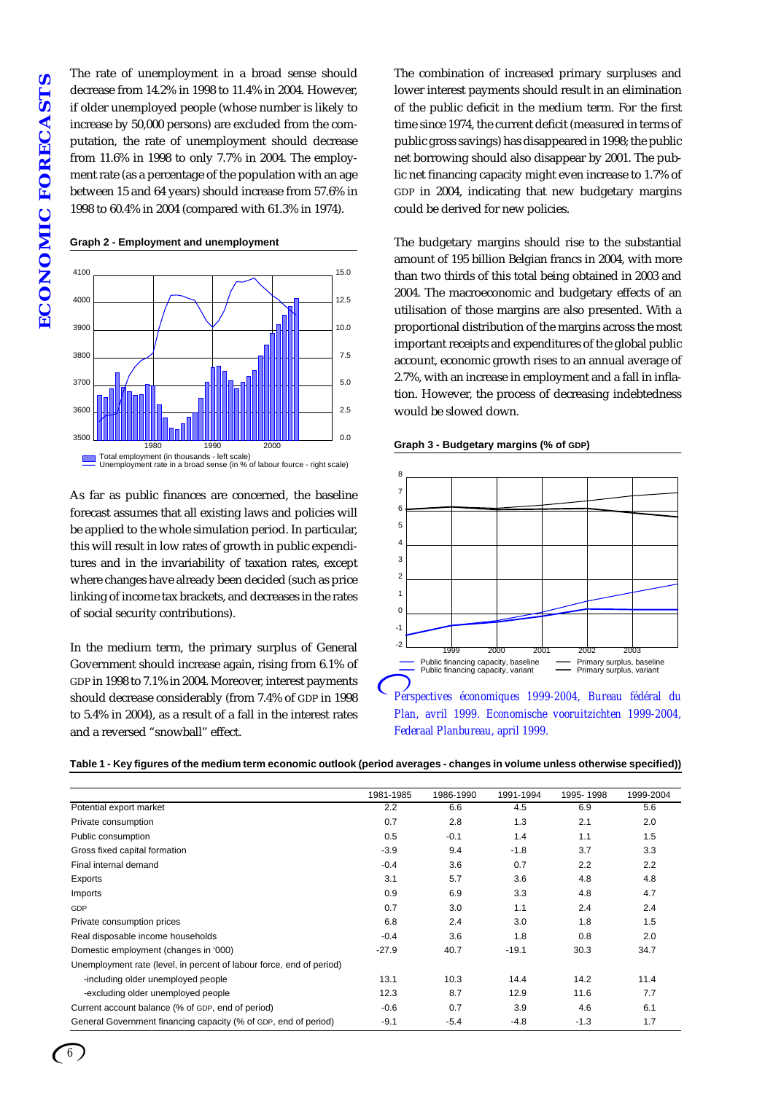The rate of unemployment in a broad sense should decrease from 14.2% in 1998 to 11.4% in 2004. However, if older unemployed people (whose number is likely to increase by 50,000 persons) are excluded from the computation, the rate of unemployment should decrease from 11.6% in 1998 to only 7.7% in 2004. The employment rate (as a percentage of the population with an age between 15 and 64 years) should increase from 57.6% in 1998 to 60.4% in 2004 (compared with 61.3% in 1974).

#### **Graph 2 - Employment and unemployment**



As far as public finances are concerned, the baseline forecast assumes that all existing laws and policies will be applied to the whole simulation period. In particular, this will result in low rates of growth in public expenditures and in the invariability of taxation rates, except where changes have already been decided (such as price linking of income tax brackets, and decreases in the rates of social security contributions).

In the medium term, the primary surplus of General Government should increase again, rising from 6.1% of GDP in 1998 to 7.1% in 2004. Moreover, interest payments should decrease considerably (from 7.4% of GDP in 1998 to 5.4% in 2004), as a result of a fall in the interest rates and a reversed "snowball" effect.

The combination of increased primary surpluses and lower interest payments should result in an elimination of the public deficit in the medium term. For the first time since 1974, the current deficit (measured in terms of public gross savings) has disappeared in 1998; the public net borrowing should also disappear by 2001. The public net financing capacity might even increase to 1.7% of GDP in 2004, indicating that new budgetary margins could be derived for new policies.

The budgetary margins should rise to the substantial amount of 195 billion Belgian francs in 2004, with more than two thirds of this total being obtained in 2003 and 2004. The macroeconomic and budgetary effects of an utilisation of those margins are also presented. With a proportional distribution of the margins across the most important receipts and expenditures of the global public account, economic growth rises to an annual average of 2.7%, with an increase in employment and a fall in inflation. However, the process of decreasing indebtedness would be slowed down.

#### **Graph 3 - Budgetary margins (% of GDP)**



| Table 1 - Key figures of the medium term economic outlook (period averages - changes in volume unless otherwise specified)) |  |  |
|-----------------------------------------------------------------------------------------------------------------------------|--|--|
|-----------------------------------------------------------------------------------------------------------------------------|--|--|

|                                                                      | 1981-1985 | 1986-1990 | 1991-1994 | 1995-1998 | 1999-2004 |
|----------------------------------------------------------------------|-----------|-----------|-----------|-----------|-----------|
| Potential export market                                              | 2.2       | 6.6       | 4.5       | 6.9       | 5.6       |
| Private consumption                                                  | 0.7       | 2.8       | 1.3       | 2.1       | 2.0       |
| Public consumption                                                   | 0.5       | $-0.1$    | 1.4       | 1.1       | 1.5       |
| Gross fixed capital formation                                        | $-3.9$    | 9.4       | $-1.8$    | 3.7       | 3.3       |
| Final internal demand                                                | $-0.4$    | 3.6       | 0.7       | 2.2       | 2.2       |
| Exports                                                              | 3.1       | 5.7       | 3.6       | 4.8       | 4.8       |
| Imports                                                              | 0.9       | 6.9       | 3.3       | 4.8       | 4.7       |
| GDP                                                                  | 0.7       | 3.0       | 1.1       | 2.4       | 2.4       |
| Private consumption prices                                           | 6.8       | 2.4       | 3.0       | 1.8       | 1.5       |
| Real disposable income households                                    | $-0.4$    | 3.6       | 1.8       | 0.8       | 2.0       |
| Domestic employment (changes in '000)                                | $-27.9$   | 40.7      | $-19.1$   | 30.3      | 34.7      |
| Unemployment rate (level, in percent of labour force, end of period) |           |           |           |           |           |
| -including older unemployed people                                   | 13.1      | 10.3      | 14.4      | 14.2      | 11.4      |
| -excluding older unemployed people                                   | 12.3      | 8.7       | 12.9      | 11.6      | 7.7       |
| Current account balance (% of GDP, end of period)                    | $-0.6$    | 0.7       | 3.9       | 4.6       | 6.1       |
| General Government financing capacity (% of GDP, end of period)      | $-9.1$    | $-5.4$    | $-4.8$    | $-1.3$    | 1.7       |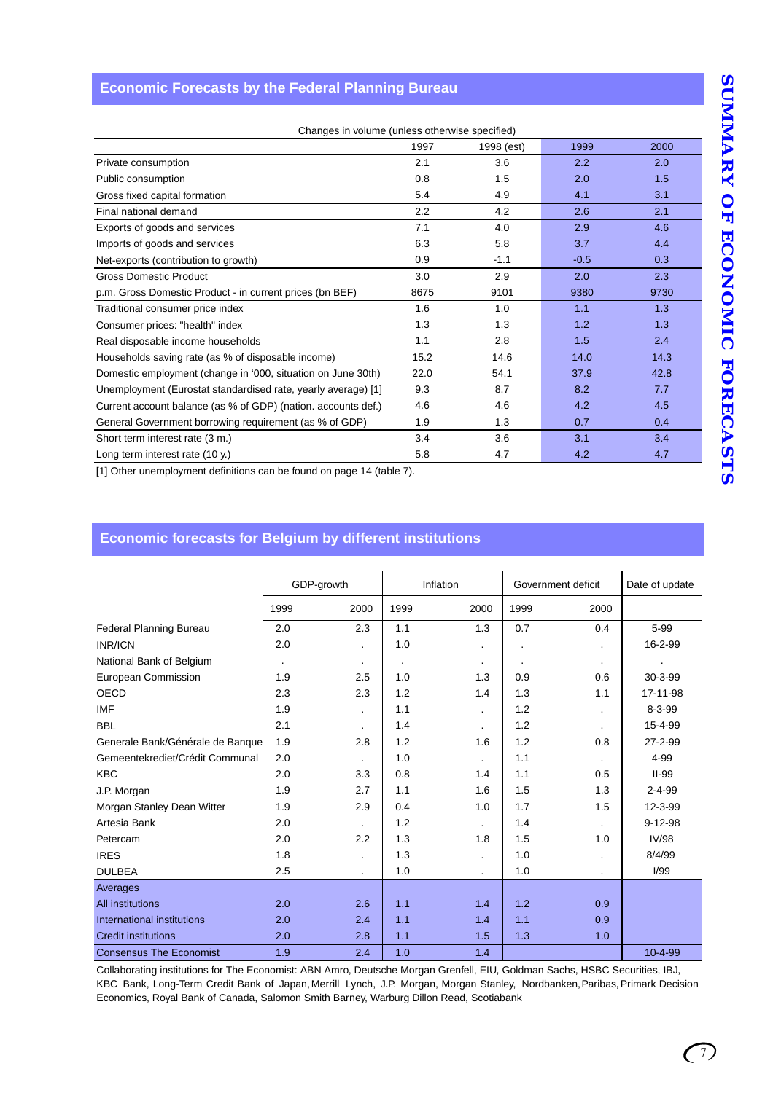# **Economic Forecasts by the Federal Planning Bureau**

| Changes in volume (unless otherwise specified)                |      |            |        |      |
|---------------------------------------------------------------|------|------------|--------|------|
|                                                               | 1997 | 1998 (est) | 1999   | 2000 |
| Private consumption                                           | 2.1  | 3.6        | 2.2    | 2.0  |
| Public consumption                                            | 0.8  | 1.5        | 2.0    | 1.5  |
| Gross fixed capital formation                                 | 5.4  | 4.9        | 4.1    | 3.1  |
| Final national demand                                         | 2.2  | 4.2        | 2.6    | 2.1  |
| Exports of goods and services                                 | 7.1  | 4.0        | 2.9    | 4.6  |
| Imports of goods and services                                 | 6.3  | 5.8        | 3.7    | 4.4  |
| Net-exports (contribution to growth)                          | 0.9  | $-1.1$     | $-0.5$ | 0.3  |
| <b>Gross Domestic Product</b>                                 | 3.0  | 2.9        | 2.0    | 2.3  |
| p.m. Gross Domestic Product - in current prices (bn BEF)      | 8675 | 9101       | 9380   | 9730 |
| Traditional consumer price index                              | 1.6  | 1.0        | 1.1    | 1.3  |
| Consumer prices: "health" index                               | 1.3  | 1.3        | 1.2    | 1.3  |
| Real disposable income households                             | 1.1  | 2.8        | 1.5    | 2.4  |
| Households saving rate (as % of disposable income)            | 15.2 | 14.6       | 14.0   | 14.3 |
| Domestic employment (change in '000, situation on June 30th)  | 22.0 | 54.1       | 37.9   | 42.8 |
| Unemployment (Eurostat standardised rate, yearly average) [1] | 9.3  | 8.7        | 8.2    | 7.7  |
| Current account balance (as % of GDP) (nation. accounts def.) | 4.6  | 4.6        | 4.2    | 4.5  |
| General Government borrowing requirement (as % of GDP)        | 1.9  | 1.3        | 0.7    | 0.4  |
| Short term interest rate (3 m.)                               | 3.4  | 3.6        | 3.1    | 3.4  |
| Long term interest rate (10 y.)                               | 5.8  | 4.7        | 4.2    | 4.7  |

[1] Other unemployment definitions can be found on page 14 (table 7).

# **Economic forecasts for Belgium by different institutions**

|                                  |                          | GDP-growth |      | Inflation            |         | Government deficit | Date of update |  |
|----------------------------------|--------------------------|------------|------|----------------------|---------|--------------------|----------------|--|
|                                  | 1999                     | 2000       | 1999 | 2000                 | 1999    | 2000               |                |  |
| <b>Federal Planning Bureau</b>   | 2.0                      | 2.3        | 1.1  | 1.3                  | 0.7     | 0.4                | 5-99           |  |
| <b>INR/ICN</b>                   | 2.0                      |            | 1.0  | $\ddot{\phantom{0}}$ |         | $\cdot$            | 16-2-99        |  |
| National Bank of Belgium         | $\overline{\phantom{a}}$ | $\cdot$    |      | $\bullet$            | $\cdot$ | $\cdot$            |                |  |
| European Commission              | 1.9                      | 2.5        | 1.0  | 1.3                  | 0.9     | 0.6                | $30-3-99$      |  |
| <b>OECD</b>                      | 2.3                      | 2.3        | 1.2  | 1.4                  | 1.3     | 1.1                | 17-11-98       |  |
| <b>IMF</b>                       | 1.9                      |            | 1.1  | $\cdot$              | 1.2     |                    | $8 - 3 - 99$   |  |
| <b>BBL</b>                       | 2.1                      | $\cdot$    | 1.4  | $\blacksquare$       | 1.2     |                    | 15-4-99        |  |
| Generale Bank/Générale de Banque | 1.9                      | 2.8        | 1.2  | 1.6                  | 1.2     | 0.8                | 27-2-99        |  |
| Gemeentekrediet/Crédit Communal  | 2.0                      |            | 1.0  | $\cdot$              | 1.1     |                    | 4-99           |  |
| <b>KBC</b>                       | 2.0                      | 3.3        | 0.8  | 1.4                  | 1.1     | 0.5                | $II-99$        |  |
| J.P. Morgan                      | 1.9                      | 2.7        | 1.1  | 1.6                  | 1.5     | 1.3                | $2 - 4 - 99$   |  |
| Morgan Stanley Dean Witter       | 1.9                      | 2.9        | 0.4  | 1.0                  | 1.7     | 1.5                | 12-3-99        |  |
| Artesia Bank                     | 2.0                      |            | 1.2  | $\cdot$              | 1.4     |                    | $9 - 12 - 98$  |  |
| Petercam                         | 2.0                      | 2.2        | 1.3  | 1.8                  | 1.5     | 1.0                | <b>IV/98</b>   |  |
| <b>IRES</b>                      | 1.8                      |            | 1.3  | ٠                    | 1.0     |                    | 8/4/99         |  |
| <b>DULBEA</b>                    | 2.5                      |            | 1.0  | $\cdot$              | 1.0     | $\blacksquare$     | 1/99           |  |
| Averages                         |                          |            |      |                      |         |                    |                |  |
| All institutions                 | 2.0                      | 2.6        | 1.1  | 1.4                  | 1.2     | 0.9                |                |  |
| International institutions       | 2.0                      | 2.4        | 1.1  | 1.4                  | 1.1     | 0.9                |                |  |
| Credit institutions              | 2.0                      | 2.8        | 1.1  | 1.5                  | 1.3     | 1.0                |                |  |
| <b>Consensus The Economist</b>   | 1.9                      | 2.4        | 1.0  | 1.4                  |         |                    | $10 - 4 - 99$  |  |

Collaborating institutions for The Economist: ABN Amro, Deutsche Morgan Grenfell, EIU, Goldman Sachs, HSBC Securities, IBJ, KBC Bank, Long-Term Credit Bank of Japan, Merrill Lynch, J.P. Morgan, Morgan Stanley, Nordbanken, Paribas, Primark Decision Economics, Royal Bank of Canada, Salomon Smith Barney, Warburg Dillon Read, Scotiabank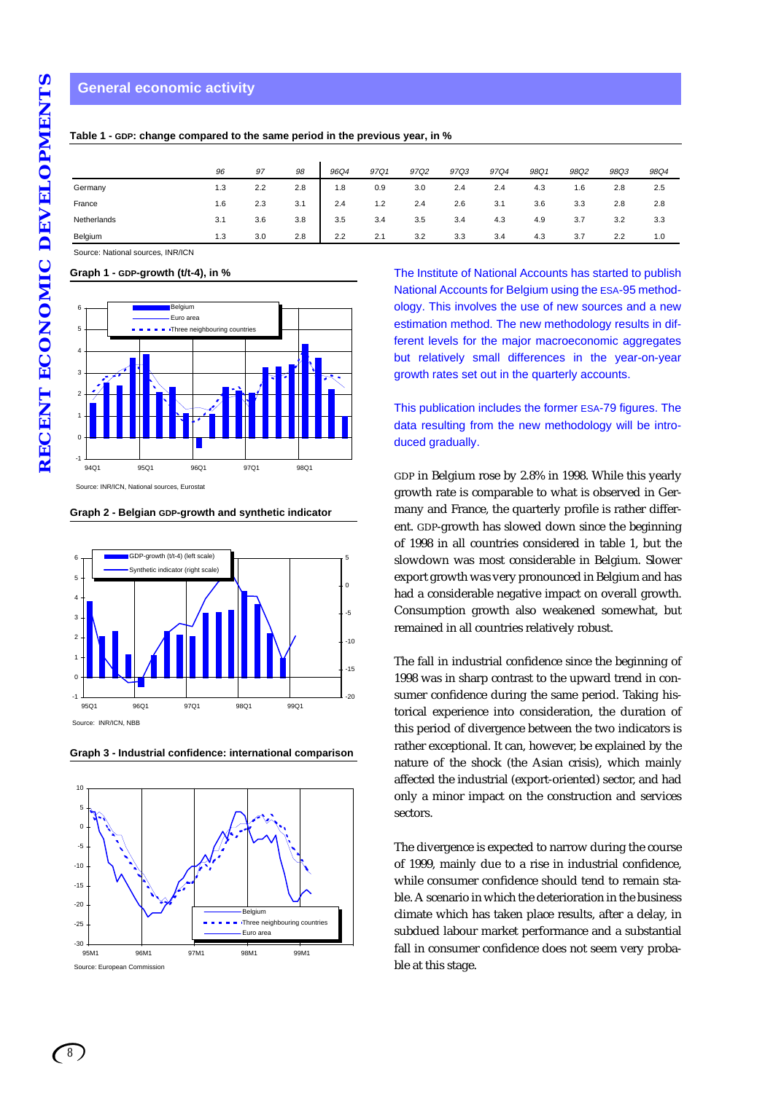### **General economic activity**

|             | 96  | 97  | 98  | 96Q4 | 97Q1 | 97Q2 | 97Q3 | 97Q4 | 98Q1 | 98Q2 | 98Q3 | 98Q4 |
|-------------|-----|-----|-----|------|------|------|------|------|------|------|------|------|
| Germany     | 1.3 | 2.2 | 2.8 | 1.8  | 0.9  | 3.0  | 2.4  | 2.4  | 4.3  | 1.6  | 2.8  | 2.5  |
| France      | 1.6 | 2.3 | 3.1 | 2.4  | 1.2  | 2.4  | 2.6  | 3.1  | 3.6  | 3.3  | 2.8  | 2.8  |
| Netherlands | 3.1 | 3.6 | 3.8 | 3.5  | 3.4  | 3.5  | 3.4  | 4.3  | 4.9  | 3.7  | 3.2  | 3.3  |
| Belgium     | 1.3 | 3.0 | 2.8 | 2.2  | 2.1  | 3.2  | 3.3  | 3.4  | 4.3  | 3.7  | 2.2  | 1.0  |

**Table 1 - GDP: change compared to the same period in the previous year, in %**

Source: National sources, INR/ICN

**Graph 1 - GDP-growth (t/t-4), in %**



**Graph 2 - Belgian GDP-growth and synthetic indicator**



**Graph 3 - Industrial confidence: international comparison**



The Institute of National Accounts has started to publish National Accounts for Belgium using the ESA-95 methodology. This involves the use of new sources and a new estimation method. The new methodology results in different levels for the major macroeconomic aggregates but relatively small differences in the year-on-year growth rates set out in the quarterly accounts.

This publication includes the former ESA-79 figures. The data resulting from the new methodology will be introduced gradually.

GDP in Belgium rose by 2.8% in 1998. While this yearly growth rate is comparable to what is observed in Germany and France, the quarterly profile is rather different. GDP-growth has slowed down since the beginning of 1998 in all countries considered in table 1, but the slowdown was most considerable in Belgium. Slower export growth was very pronounced in Belgium and has had a considerable negative impact on overall growth. Consumption growth also weakened somewhat, but remained in all countries relatively robust.

The fall in industrial confidence since the beginning of 1998 was in sharp contrast to the upward trend in consumer confidence during the same period. Taking historical experience into consideration, the duration of this period of divergence between the two indicators is rather exceptional. It can, however, be explained by the nature of the shock (the Asian crisis), which mainly affected the industrial (export-oriented) sector, and had only a minor impact on the construction and services sectors.

The divergence is expected to narrow during the course of 1999, mainly due to a rise in industrial confidence, while consumer confidence should tend to remain stable. A scenario in which the deterioration in the business climate which has taken place results, after a delay, in subdued labour market performance and a substantial fall in consumer confidence does not seem very probable at this stage.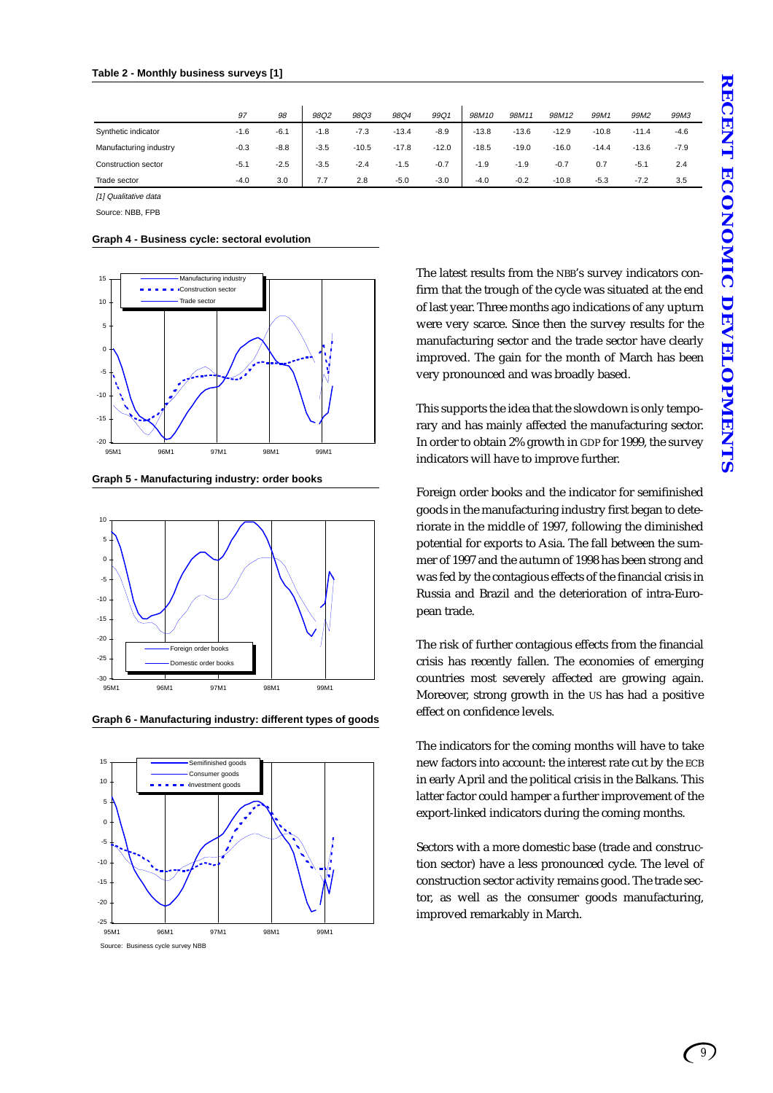|                        | 97     | 98     | 98Q2   | 98Q3    | 98Q4    | 99Q1    | 98M10   | 98M11   | 98M12   | 99M1    | 99M <sub>2</sub> | 99M3   |
|------------------------|--------|--------|--------|---------|---------|---------|---------|---------|---------|---------|------------------|--------|
| Synthetic indicator    | $-1.6$ | $-6.1$ | $-1.8$ | $-7.3$  | $-13.4$ | $-8.9$  | $-13.8$ | $-13.6$ | $-12.9$ | $-10.8$ | $-11.4$          | $-4.6$ |
| Manufacturing industry | $-0.3$ | $-8.8$ | $-3.5$ | $-10.5$ | $-17.8$ | $-12.0$ | $-18.5$ | $-19.0$ | $-16.0$ | $-14.4$ | $-13.6$          | $-7.9$ |
| Construction sector    | $-5.1$ | $-2.5$ | $-3.5$ | $-2.4$  | $-1.5$  | $-0.7$  | $-1.9$  | $-1.9$  | $-0.7$  | 0.7     | $-5.1$           | 2.4    |
| Trade sector           | $-4.0$ | 3.0    | 7.7    | 2.8     | $-5.0$  | $-3.0$  | $-4.0$  | $-0.2$  | $-10.8$ | $-5.3$  | $-7.2$           | 3.5    |

[1] Qualitative data

Source: NBB, FPB

**Graph 4 - Business cycle: sectoral evolution**



**Graph 5 - Manufacturing industry: order books**



**Graph 6 - Manufacturing industry: different types of goods**



The latest results from the NBB's survey indicators confirm that the trough of the cycle was situated at the end of last year. Three months ago indications of any upturn were very scarce. Since then the survey results for the manufacturing sector and the trade sector have clearly improved. The gain for the month of March has been very pronounced and was broadly based.

This supports the idea that the slowdown is only temporary and has mainly affected the manufacturing sector. In order to obtain 2% growth in GDP for 1999, the survey indicators will have to improve further.

Foreign order books and the indicator for semifinished goods in the manufacturing industry first began to deteriorate in the middle of 1997, following the diminished potential for exports to Asia. The fall between the summer of 1997 and the autumn of 1998 has been strong and was fed by the contagious effects of the financial crisis in Russia and Brazil and the deterioration of intra-European trade.

The risk of further contagious effects from the financial crisis has recently fallen. The economies of emerging countries most severely affected are growing again. Moreover, strong growth in the US has had a positive effect on confidence levels.

The indicators for the coming months will have to take new factors into account: the interest rate cut by the ECB in early April and the political crisis in the Balkans. This latter factor could hamper a further improvement of the export-linked indicators during the coming months.

Sectors with a more domestic base (trade and construction sector) have a less pronounced cycle. The level of construction sector activity remains good. The trade sector, as well as the consumer goods manufacturing, improved remarkably in March.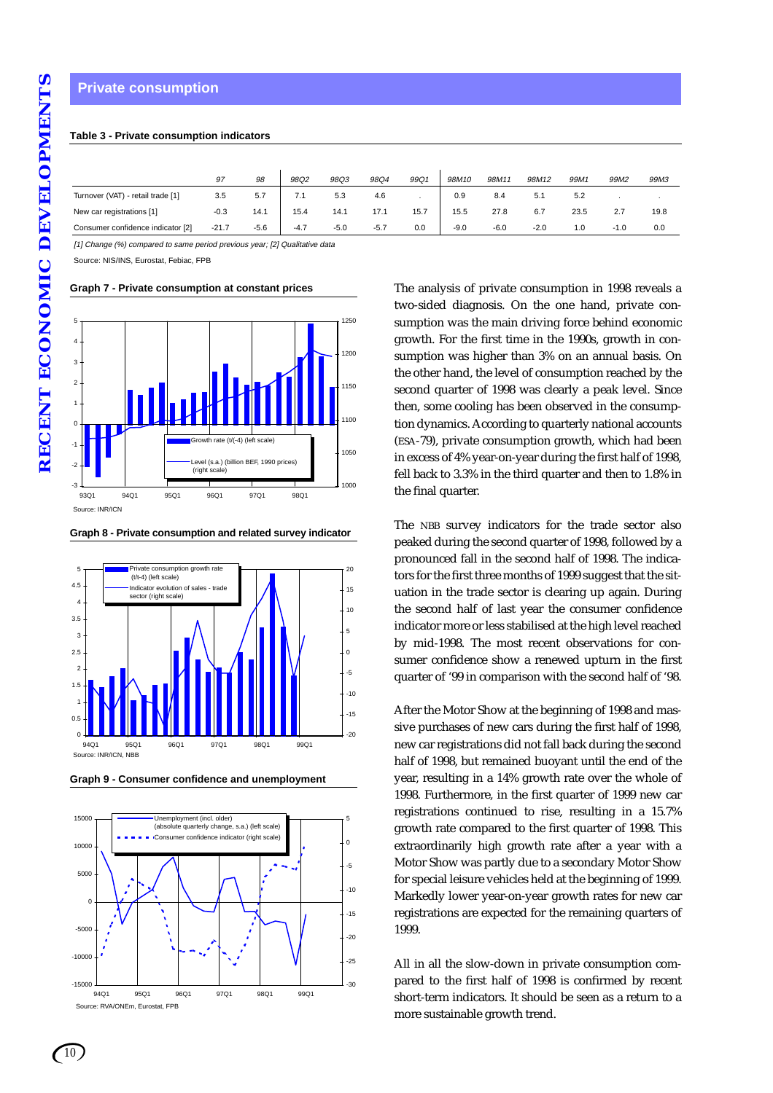# **Table 3 - Private consumption indicators**

|                                   | 97      | 98     | 98Q2   | 98Q3   | 98Q4   | 99Q1 | 98M10  | 98M11  | 98M12  | 99M1 | 99M2   | 99M3 |
|-----------------------------------|---------|--------|--------|--------|--------|------|--------|--------|--------|------|--------|------|
| Turnover (VAT) - retail trade [1] | 3.5     | 5.7    | 7.1    | 5.3    | 4.6    |      | 0.9    | 8.4    | 5.1    | 5.2  |        |      |
| New car registrations [1]         | $-0.3$  | 14.1   | 15.4   | 14.1   | 17.1   | 15.7 | 15.5   | 27.8   | 6.7    | 23.5 |        | 19.8 |
| Consumer confidence indicator [2] | $-21.7$ | $-5.6$ | $-4.7$ | $-5.0$ | $-5.7$ | 0.0  | $-9.0$ | $-6.0$ | $-2.0$ | 1.0  | $-1.0$ | 0.0  |

[1] Change (%) compared to same period previous year; [2] Qualitative data

Source: NIS/INS, Eurostat, Febiac, FPB

**Graph 7 - Private consumption at constant prices**



#### **Graph 8 - Private consumption and related survey indicator**



**Graph 9 - Consumer confidence and unemployment**



The analysis of private consumption in 1998 reveals a two-sided diagnosis. On the one hand, private consumption was the main driving force behind economic growth. For the first time in the 1990s, growth in consumption was higher than 3% on an annual basis. On the other hand, the level of consumption reached by the second quarter of 1998 was clearly a peak level. Since then, some cooling has been observed in the consumption dynamics. According to quarterly national accounts (ESA-79), private consumption growth, which had been in excess of 4% year-on-year during the first half of 1998, fell back to 3.3% in the third quarter and then to 1.8% in the final quarter.

The NBB survey indicators for the trade sector also peaked during the second quarter of 1998, followed by a pronounced fall in the second half of 1998. The indicators for the first three months of 1999 suggest that the situation in the trade sector is clearing up again. During the second half of last year the consumer confidence indicator more or less stabilised at the high level reached by mid-1998. The most recent observations for consumer confidence show a renewed upturn in the first quarter of '99 in comparison with the second half of '98.

After the Motor Show at the beginning of 1998 and massive purchases of new cars during the first half of 1998, new car registrations did not fall back during the second half of 1998, but remained buoyant until the end of the year, resulting in a 14% growth rate over the whole of 1998. Furthermore, in the first quarter of 1999 new car registrations continued to rise, resulting in a 15.7% growth rate compared to the first quarter of 1998. This extraordinarily high growth rate after a year with a Motor Show was partly due to a secondary Motor Show for special leisure vehicles held at the beginning of 1999. Markedly lower year-on-year growth rates for new car registrations are expected for the remaining quarters of 1999.

All in all the slow-down in private consumption compared to the first half of 1998 is confirmed by recent short-term indicators. It should be seen as a return to a more sustainable growth trend.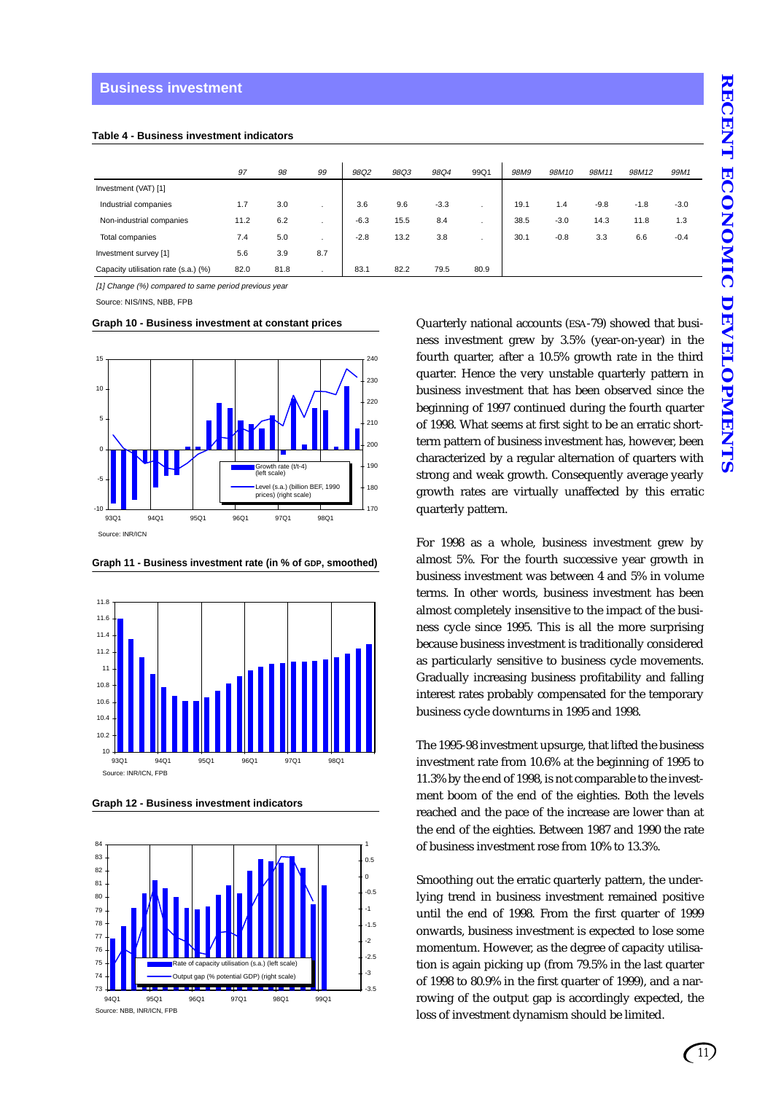#### **Business investment**

|  |  |  | Table 4 - Business investment indicators |  |
|--|--|--|------------------------------------------|--|
|--|--|--|------------------------------------------|--|

|                                      | 97   | 98   | 99           | 98Q2   | 98Q3 | 98Q4   | 99Q1 | 98M9 | 98M10  | 98M11  | 98M12  | 99M1   |
|--------------------------------------|------|------|--------------|--------|------|--------|------|------|--------|--------|--------|--------|
| Investment (VAT) [1]                 |      |      |              |        |      |        |      |      |        |        |        |        |
| Industrial companies                 | 1.7  | 3.0  |              | 3.6    | 9.6  | $-3.3$ |      | 19.1 | 1.4    | $-9.8$ | $-1.8$ | $-3.0$ |
| Non-industrial companies             | 11.2 | 6.2  |              | $-6.3$ | 15.5 | 8.4    |      | 38.5 | $-3.0$ | 14.3   | 11.8   | 1.3    |
| Total companies                      | 7.4  | 5.0  |              | $-2.8$ | 13.2 | 3.8    | ٠    | 30.1 | $-0.8$ | 3.3    | 6.6    | $-0.4$ |
| Investment survey [1]                | 5.6  | 3.9  | 8.7          |        |      |        |      |      |        |        |        |        |
| Capacity utilisation rate (s.a.) (%) | 82.0 | 81.8 | $\mathbf{r}$ | 83.1   | 82.2 | 79.5   | 80.9 |      |        |        |        |        |

[1] Change (%) compared to same period previous year

Source: NIS/INS, NBB, FPB

**Graph 10 - Business investment at constant prices**



**Graph 11 - Business investment rate (in % of GDP, smoothed)**



**Graph 12 - Business investment indicators**



Quarterly national accounts (ESA-79) showed that business investment grew by 3.5% (year-on-year) in the fourth quarter, after a 10.5% growth rate in the third quarter. Hence the very unstable quarterly pattern in business investment that has been observed since the beginning of 1997 continued during the fourth quarter of 1998. What seems at first sight to be an erratic shortterm pattern of business investment has, however, been characterized by a regular alternation of quarters with strong and weak growth. Consequently average yearly growth rates are virtually unaffected by this erratic quarterly pattern.

For 1998 as a whole, business investment grew by almost 5%. For the fourth successive year growth in business investment was between 4 and 5% in volume terms. In other words, business investment has been almost completely insensitive to the impact of the business cycle since 1995. This is all the more surprising because business investment is traditionally considered as particularly sensitive to business cycle movements. Gradually increasing business profitability and falling interest rates probably compensated for the temporary business cycle downturns in 1995 and 1998.

The 1995-98 investment upsurge, that lifted the business investment rate from 10.6% at the beginning of 1995 to 11.3% by the end of 1998, is not comparable to the investment boom of the end of the eighties. Both the levels reached and the pace of the increase are lower than at the end of the eighties. Between 1987 and 1990 the rate of business investment rose from 10% to 13.3%.

Smoothing out the erratic quarterly pattern, the underlying trend in business investment remained positive until the end of 1998. From the first quarter of 1999 onwards, business investment is expected to lose some momentum. However, as the degree of capacity utilisation is again picking up (from 79.5% in the last quarter of 1998 to 80.9% in the first quarter of 1999), and a narrowing of the output gap is accordingly expected, the loss of investment dynamism should be limited.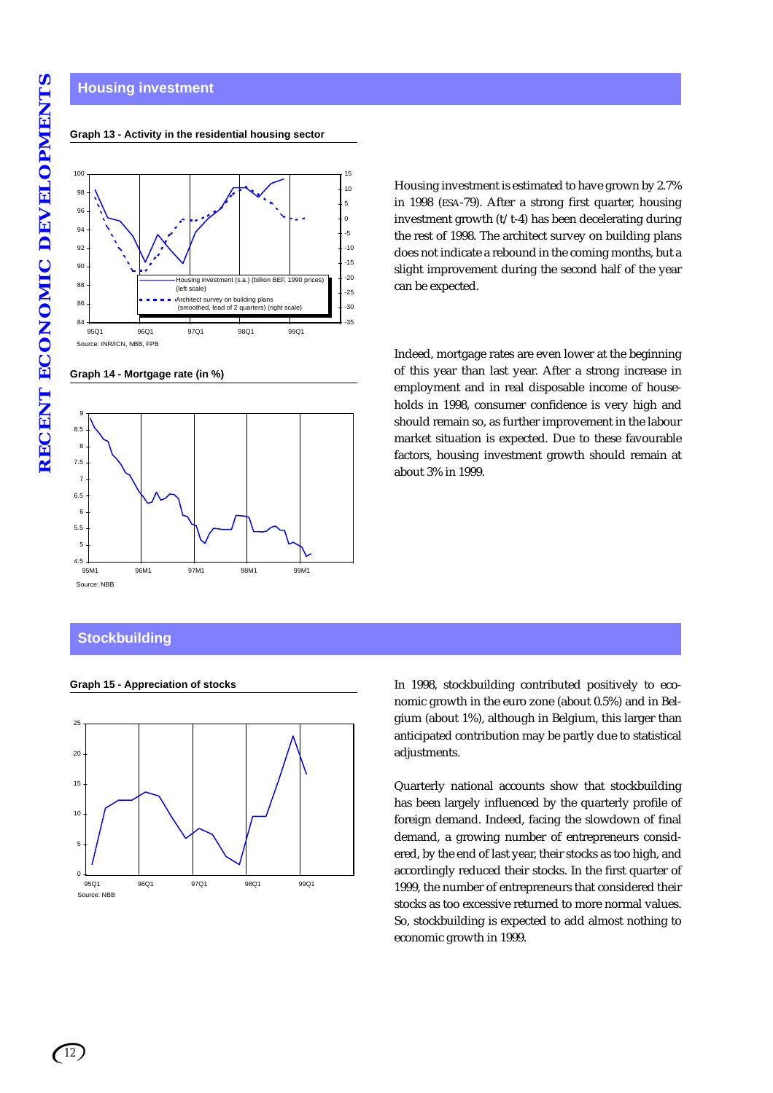#### **Housing investment**

#### Source: INR/ICN, NBB, FPB 84 86 88 90 92 94 96 98 100 95Q1 96Q1 97Q1 98Q1 99Q1 -35 -30 -25 -20 -15 -10 -5 0 5  $10^{10}$ 15 ng investment (s.a.) (billion BEF, 1990 price (left scale) Architect survey on building plans (smoothed, lead of 2 quarters) (right scale)

**Graph 13 - Activity in the residential housing sector**

**Graph 14 - Mortgage rate (in %)**



Housing investment is estimated to have grown by 2.7% in 1998 (ESA-79). After a strong first quarter, housing investment growth (t/t-4) has been decelerating during the rest of 1998. The architect survey on building plans does not indicate a rebound in the coming months, but a slight improvement during the second half of the year can be expected.

Indeed, mortgage rates are even lower at the beginning of this year than last year. After a strong increase in employment and in real disposable income of households in 1998, consumer confidence is very high and should remain so, as further improvement in the labour market situation is expected. Due to these favourable factors, housing investment growth should remain at about 3% in 1999.

# **Stockbuilding**



**Graph 15 - Appreciation of stocks** In 1998, stockbuilding contributed positively to economic growth in the euro zone (about 0.5%) and in Belgium (about 1%), although in Belgium, this larger than anticipated contribution may be partly due to statistical adjustments.

> Quarterly national accounts show that stockbuilding has been largely influenced by the quarterly profile of foreign demand. Indeed, facing the slowdown of final demand, a growing number of entrepreneurs considered, by the end of last year, their stocks as too high, and accordingly reduced their stocks. In the first quarter of 1999, the number of entrepreneurs that considered their stocks as too excessive returned to more normal values. So, stockbuilding is expected to add almost nothing to economic growth in 1999.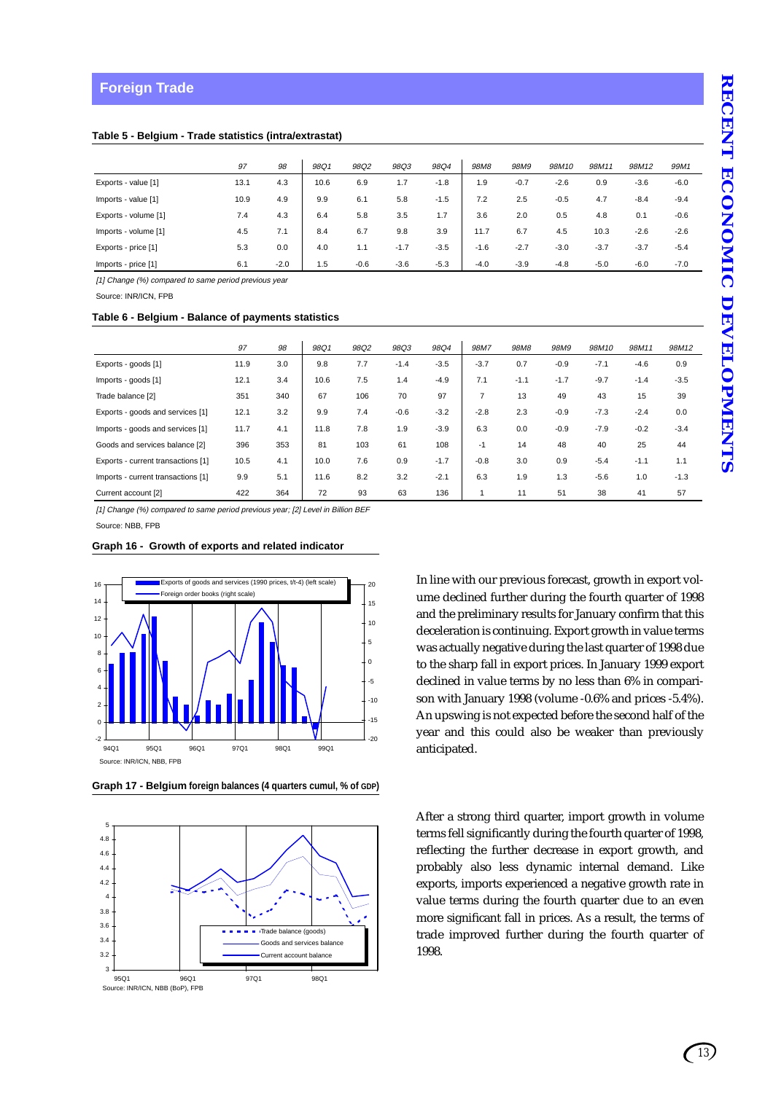|                      | 97   | 98     | 98Q1 | 98Q2   | 98Q3   | 98Q4   | 98M <sub>8</sub> | 98M9   | 98M10  | 98M11  | 98M12  | 99M1   |
|----------------------|------|--------|------|--------|--------|--------|------------------|--------|--------|--------|--------|--------|
| Exports - value [1]  | 13.1 | 4.3    | 10.6 | 6.9    | 1.7    | $-1.8$ | 1.9              | $-0.7$ | $-2.6$ | 0.9    | $-3.6$ | $-6.0$ |
| Imports - value [1]  | 10.9 | 4.9    | 9.9  | 6.1    | 5.8    | $-1.5$ | 7.2              | 2.5    | $-0.5$ | 4.7    | $-8.4$ | $-9.4$ |
| Exports - volume [1] | 7.4  | 4.3    | 6.4  | 5.8    | 3.5    | 1.7    | 3.6              | 2.0    | 0.5    | 4.8    | 0.1    | $-0.6$ |
| Imports - volume [1] | 4.5  | 7.1    | 8.4  | 6.7    | 9.8    | 3.9    | 11.7             | 6.7    | 4.5    | 10.3   | $-2.6$ | $-2.6$ |
| Exports - price [1]  | 5.3  | 0.0    | 4.0  | 1.1    | $-1.7$ | $-3.5$ | $-1.6$           | $-2.7$ | $-3.0$ | $-3.7$ | $-3.7$ | $-5.4$ |
| Imports - price [1]  | 6.1  | $-2.0$ | 1.5  | $-0.6$ | $-3.6$ | $-5.3$ | $-4.0$           | $-3.9$ | $-4.8$ | $-5.0$ | $-6.0$ | $-7.0$ |

[1] Change (%) compared to same period previous year

Source: INR/ICN, FPB

#### **Table 6 - Belgium - Balance of payments statistics**

|                                    | 97   | 98  | 98Q1 | 98Q2 | 98Q3   | 98Q4   | 98M7           | 98M8   | 98M9   | 98M10  | 98M11  | 98M12  |
|------------------------------------|------|-----|------|------|--------|--------|----------------|--------|--------|--------|--------|--------|
| Exports - goods [1]                | 11.9 | 3.0 | 9.8  | 7.7  | $-1.4$ | $-3.5$ | $-3.7$         | 0.7    | $-0.9$ | $-7.1$ | $-4.6$ | 0.9    |
| Imports - goods [1]                | 12.1 | 3.4 | 10.6 | 7.5  | 1.4    | $-4.9$ | 7.1            | $-1.1$ | $-1.7$ | $-9.7$ | $-1.4$ | $-3.5$ |
| Trade balance [2]                  | 351  | 340 | 67   | 106  | 70     | 97     | $\overline{7}$ | 13     | 49     | 43     | 15     | 39     |
| Exports - goods and services [1]   | 12.1 | 3.2 | 9.9  | 7.4  | $-0.6$ | $-3.2$ | $-2.8$         | 2.3    | $-0.9$ | $-7.3$ | $-2.4$ | 0.0    |
| Imports - goods and services [1]   | 11.7 | 4.1 | 11.8 | 7.8  | 1.9    | $-3.9$ | 6.3            | 0.0    | $-0.9$ | $-7.9$ | $-0.2$ | $-3.4$ |
| Goods and services balance [2]     | 396  | 353 | 81   | 103  | 61     | 108    | $-1$           | 14     | 48     | 40     | 25     | 44     |
| Exports - current transactions [1] | 10.5 | 4.1 | 10.0 | 7.6  | 0.9    | $-1.7$ | $-0.8$         | 3.0    | 0.9    | $-5.4$ | $-1.1$ | 1.1    |
| Imports - current transactions [1] | 9.9  | 5.1 | 11.6 | 8.2  | 3.2    | $-2.1$ | 6.3            | 1.9    | 1.3    | $-5.6$ | 1.0    | $-1.3$ |
| Current account [2]                | 422  | 364 | 72   | 93   | 63     | 136    |                | 11     | 51     | 38     | 41     | 57     |

[1] Change (%) compared to same period previous year; [2] Level in Billion BEF Source: NBB, FPB

#### **Graph 16 - Growth of exports and related indicator**



**Graph 17 - Belgium foreign balances (4 quarters cumul, % of GDP)**



In line with our previous forecast, growth in export volume declined further during the fourth quarter of 1998 and the preliminary results for January confirm that this deceleration is continuing. Export growth in value terms was actually negative during the last quarter of 1998 due to the sharp fall in export prices. In January 1999 export declined in value terms by no less than 6% in comparison with January 1998 (volume -0.6% and prices -5.4%). An upswing is not expected before the second half of the year and this could also be weaker than previously anticipated.

After a strong third quarter, import growth in volume terms fell significantly during the fourth quarter of 1998, reflecting the further decrease in export growth, and probably also less dynamic internal demand. Like exports, imports experienced a negative growth rate in value terms during the fourth quarter due to an even more significant fall in prices. As a result, the terms of trade improved further during the fourth quarter of 1998.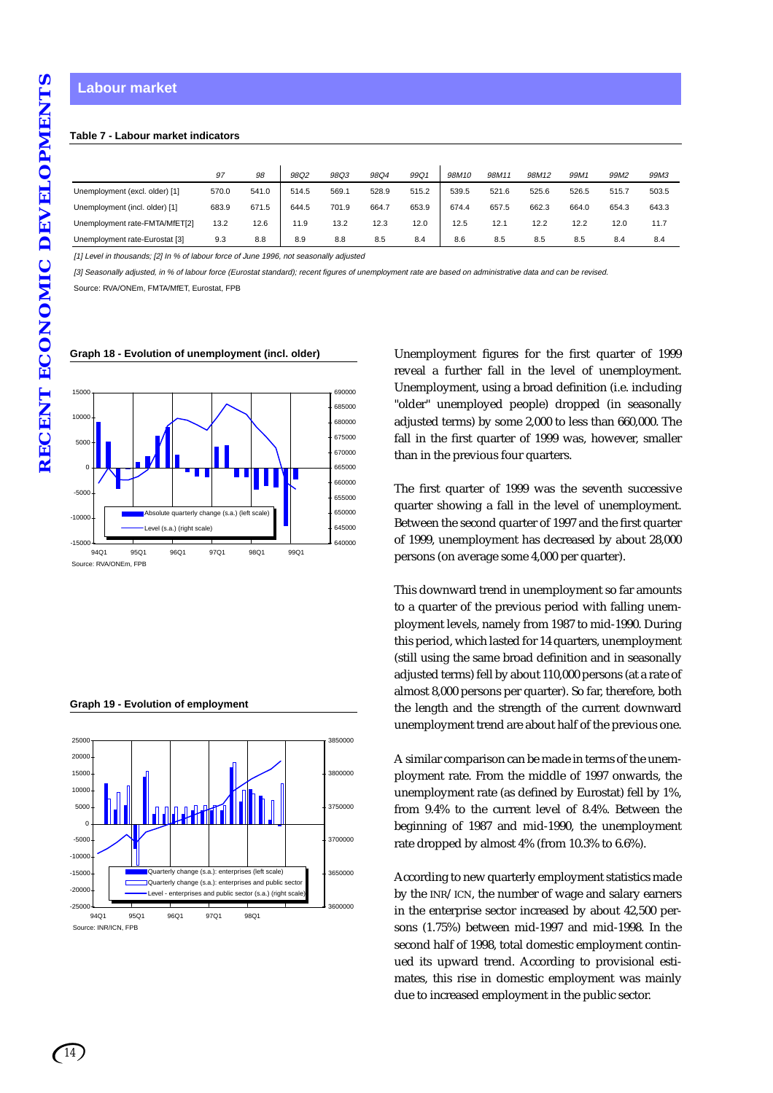#### **Labour market**

#### **Table 7 - Labour market indicators**

|                                | 97    | 98    | 98Q2  | 98Q3  | 98Q4  | 99Q1  | 98M10 | 98M11 | 98M12 | 99M1  | 99M2  | 99M3  |
|--------------------------------|-------|-------|-------|-------|-------|-------|-------|-------|-------|-------|-------|-------|
| Unemployment (excl. older) [1] | 570.0 | 541.0 | 514.5 | 569.1 | 528.9 | 515.2 | 539.5 | 521.6 | 525.6 | 526.5 | 515.7 | 503.5 |
| Unemployment (incl. older) [1] | 683.9 | 671.5 | 644.5 | 701.9 | 664.7 | 653.9 | 674.4 | 657.5 | 662.3 | 664.0 | 654.3 | 643.3 |
| Unemployment rate-FMTA/MfET[2] | 13.2  | 12.6  | 11.9  | 13.2  | 12.3  | 12.0  | 12.5  | 12.1  | 12.2  | 12.2  | 12.0  | 11.7  |
| Unemployment rate-Eurostat [3] | 9.3   | 8.8   | 8.9   | 8.8   | 8.5   | 8.4   | 8.6   | 8.5   | 8.5   | 8.5   | 8.4   | 8.4   |

[1] Level in thousands; [2] In % of labour force of June 1996, not seasonally adjusted

[3] Seasonally adjusted, in % of labour force (Eurostat standard); recent figures of unemployment rate are based on administrative data and can be revised.

Source: RVA/ONEm, FMTA/MfET, Eurostat, FPB



#### **Graph 18 - Evolution of unemployment (incl. older)**

**Graph 19 - Evolution of employment**



Unemployment figures for the first quarter of 1999 reveal a further fall in the level of unemployment. Unemployment, using a broad definition (i.e. including "older" unemployed people) dropped (in seasonally adjusted terms) by some 2,000 to less than 660,000. The fall in the first quarter of 1999 was, however, smaller than in the previous four quarters.

The first quarter of 1999 was the seventh successive quarter showing a fall in the level of unemployment. Between the second quarter of 1997 and the first quarter of 1999, unemployment has decreased by about 28,000 persons (on average some 4,000 per quarter).

This downward trend in unemployment so far amounts to a quarter of the previous period with falling unemployment levels, namely from 1987 to mid-1990. During this period, which lasted for 14 quarters, unemployment (still using the same broad definition and in seasonally adjusted terms) fell by about 110,000 persons (at a rate of almost 8,000 persons per quarter). So far, therefore, both the length and the strength of the current downward unemployment trend are about half of the previous one.

A similar comparison can be made in terms of the unemployment rate. From the middle of 1997 onwards, the unemployment rate (as defined by Eurostat) fell by 1%, from 9.4% to the current level of 8.4%. Between the beginning of 1987 and mid-1990, the unemployment rate dropped by almost 4% (from 10.3% to 6.6%).

According to new quarterly employment statistics made by the INR/ICN, the number of wage and salary earners in the enterprise sector increased by about 42,500 persons (1.75%) between mid-1997 and mid-1998. In the second half of 1998, total domestic employment continued its upward trend. According to provisional estimates, this rise in domestic employment was mainly due to increased employment in the public sector.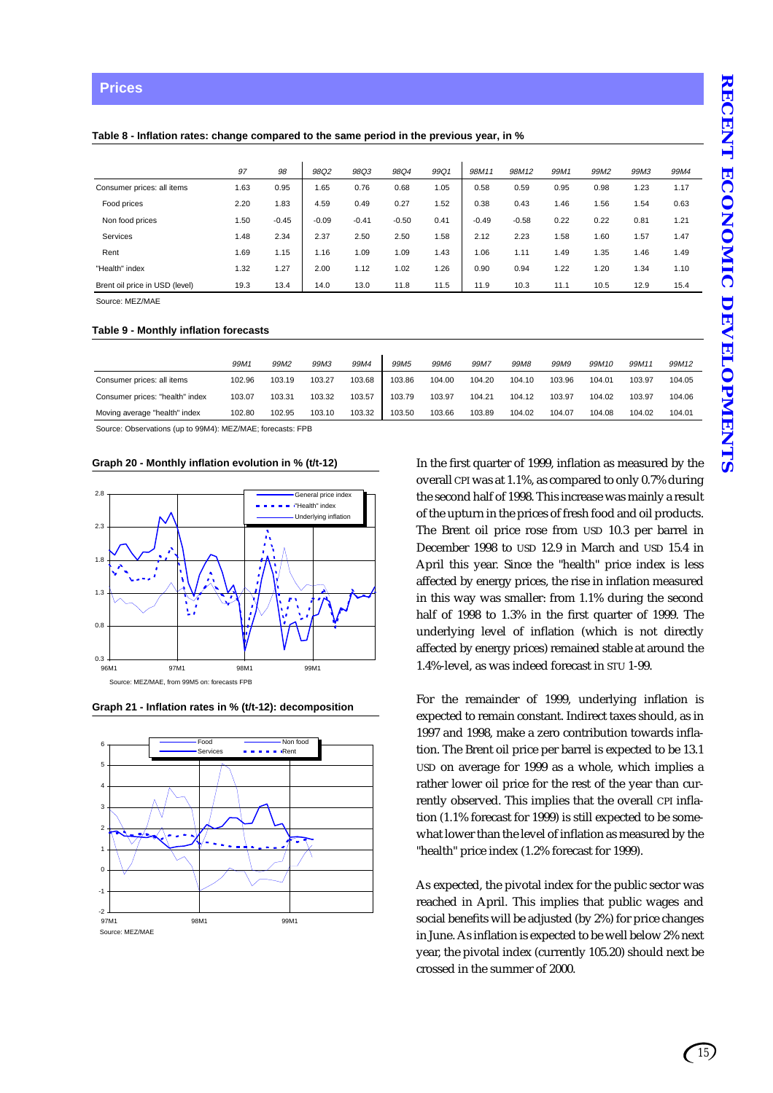#### **Table 8 - Inflation rates: change compared to the same period in the previous year, in %**

|                                | 97   | 98      | 98Q2    | 98Q3    | 98Q4    | 99Q1 | 98M11   | 98M12   | 99M1 | 99M2 | 99M3 | 99M4 |
|--------------------------------|------|---------|---------|---------|---------|------|---------|---------|------|------|------|------|
| Consumer prices: all items     | 1.63 | 0.95    | 1.65    | 0.76    | 0.68    | 1.05 | 0.58    | 0.59    | 0.95 | 0.98 | .23  | 1.17 |
| Food prices                    | 2.20 | 1.83    | 4.59    | 0.49    | 0.27    | 1.52 | 0.38    | 0.43    | 1.46 | 1.56 | .54  | 0.63 |
| Non food prices                | 1.50 | $-0.45$ | $-0.09$ | $-0.41$ | $-0.50$ | 0.41 | $-0.49$ | $-0.58$ | 0.22 | 0.22 | 0.81 | 1.21 |
| <b>Services</b>                | 1.48 | 2.34    | 2.37    | 2.50    | 2.50    | 1.58 | 2.12    | 2.23    | 1.58 | 1.60 | .57  | 1.47 |
| Rent                           | 1.69 | 1.15    | 1.16    | 1.09    | 1.09    | 1.43 | 1.06    | 1.11    | 1.49 | 1.35 | 1.46 | 1.49 |
| "Health" index                 | 1.32 | 1.27    | 2.00    | 1.12    | 1.02    | 1.26 | 0.90    | 0.94    | 1.22 | 1.20 | 1.34 | 1.10 |
| Brent oil price in USD (level) | 19.3 | 13.4    | 14.0    | 13.0    | 11.8    | 11.5 | 11.9    | 10.3    | 11.1 | 10.5 | 12.9 | 15.4 |

Source: MEZ/MAE

#### **Table 9 - Monthly inflation forecasts**

|                                 | 99M1   | 99M2   | 99M3   | 99M4   | 99M <sub>5</sub> | 99M <sub>6</sub> | 99M7   | 99M8   | <i>99M9</i> | 99M10  | 99M11  | 99M12  |
|---------------------------------|--------|--------|--------|--------|------------------|------------------|--------|--------|-------------|--------|--------|--------|
| Consumer prices: all items      | 102.96 | 103.19 | 103.27 | 103.68 | 103.86           | 104.00           | 104.20 | 104.10 | 103.96      | 104.01 | 103.97 | 104.05 |
| Consumer prices: "health" index | 103.07 | 103.31 | 103.32 | 103.57 | 103.79           | 103.97           | 104.21 | 104.12 | 103.97      | 104.02 | 103.97 | 104.06 |
| Moving average "health" index   | 102.80 | 102.95 | 103.10 | 103.32 | 103.50           | 103.66           | 103.89 | 104.02 | 104.07      | 104.08 | 104.02 | 104.01 |

Source: Observations (up to 99M4): MEZ/MAE; forecasts: FPB

#### **Graph 20 - Monthly inflation evolution in % (t/t-12)**







In the first quarter of 1999, inflation as measured by the overall CPI was at 1.1%, as compared to only 0.7% during the second half of 1998. This increase was mainly a result of the upturn in the prices of fresh food and oil products. The Brent oil price rose from USD 10.3 per barrel in December 1998 to USD 12.9 in March and USD 15.4 in April this year. Since the "health" price index is less affected by energy prices, the rise in inflation measured in this way was smaller: from 1.1% during the second half of 1998 to 1.3% in the first quarter of 1999. The underlying level of inflation (which is not directly affected by energy prices) remained stable at around the 1.4%-level, as was indeed forecast in STU 1-99.

For the remainder of 1999, underlying inflation is expected to remain constant. Indirect taxes should, as in 1997 and 1998, make a zero contribution towards inflation. The Brent oil price per barrel is expected to be 13.1 USD on average for 1999 as a whole, which implies a rather lower oil price for the rest of the year than currently observed. This implies that the overall CPI inflation (1.1% forecast for 1999) is still expected to be somewhat lower than the level of inflation as measured by the "health" price index (1.2% forecast for 1999).

As expected, the pivotal index for the public sector was reached in April. This implies that public wages and social benefits will be adjusted (by 2%) for price changes in June. As inflation is expected to be well below 2% next year, the pivotal index (currently 105.20) should next be crossed in the summer of 2000.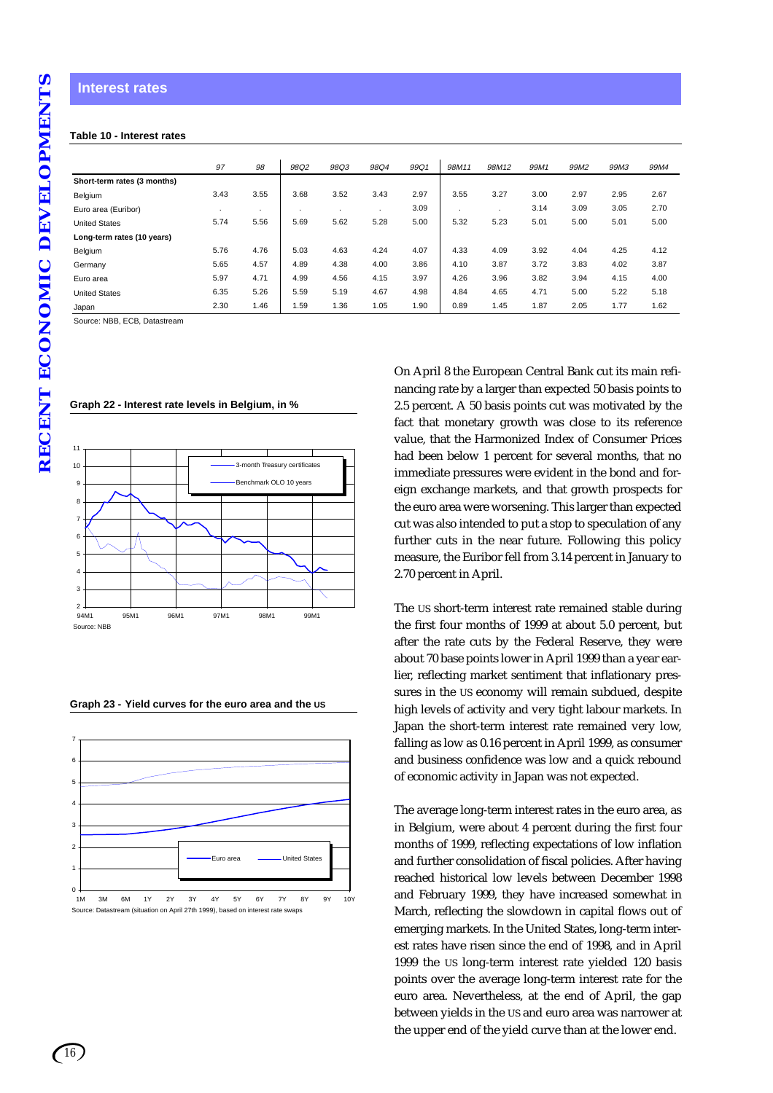#### **Table 10 - Interest rates**

|                             | 97   | 98             | 98Q2 | 98Q3 | 98Q4 | 99Q1 | 98M11                | 98M12   | 99M1 | 99M2 | 99M3 | 99M4 |
|-----------------------------|------|----------------|------|------|------|------|----------------------|---------|------|------|------|------|
| Short-term rates (3 months) |      |                |      |      |      |      |                      |         |      |      |      |      |
| Belgium                     | 3.43 | 3.55           | 3.68 | 3.52 | 3.43 | 2.97 | 3.55                 | 3.27    | 3.00 | 2.97 | 2.95 | 2.67 |
| Euro area (Euribor)         |      | $\blacksquare$ |      |      |      | 3.09 | $\ddot{\phantom{a}}$ | $\cdot$ | 3.14 | 3.09 | 3.05 | 2.70 |
| <b>United States</b>        | 5.74 | 5.56           | 5.69 | 5.62 | 5.28 | 5.00 | 5.32                 | 5.23    | 5.01 | 5.00 | 5.01 | 5.00 |
| Long-term rates (10 years)  |      |                |      |      |      |      |                      |         |      |      |      |      |
| Belgium                     | 5.76 | 4.76           | 5.03 | 4.63 | 4.24 | 4.07 | 4.33                 | 4.09    | 3.92 | 4.04 | 4.25 | 4.12 |
| Germany                     | 5.65 | 4.57           | 4.89 | 4.38 | 4.00 | 3.86 | 4.10                 | 3.87    | 3.72 | 3.83 | 4.02 | 3.87 |
| Euro area                   | 5.97 | 4.71           | 4.99 | 4.56 | 4.15 | 3.97 | 4.26                 | 3.96    | 3.82 | 3.94 | 4.15 | 4.00 |
| <b>United States</b>        | 6.35 | 5.26           | 5.59 | 5.19 | 4.67 | 4.98 | 4.84                 | 4.65    | 4.71 | 5.00 | 5.22 | 5.18 |
| Japan                       | 2.30 | 1.46           | 1.59 | 1.36 | 1.05 | 1.90 | 0.89                 | 1.45    | 1.87 | 2.05 | 1.77 | 1.62 |

Source: NBB, ECB, Datastream

| 3-month Treasury certificates |
|-------------------------------|
| Benchmark OLO 10 years        |
|                               |
|                               |
|                               |
|                               |
|                               |
|                               |
|                               |
|                               |
| 97M1                          |

**Graph 22 - Interest rate levels in Belgium, in %**

|  | Graph 23 - Yield curves for the euro area and the US |  |  |
|--|------------------------------------------------------|--|--|
|  |                                                      |  |  |



On April 8 the European Central Bank cut its main refinancing rate by a larger than expected 50 basis points to 2.5 percent. A 50 basis points cut was motivated by the fact that monetary growth was close to its reference value, that the Harmonized Index of Consumer Prices had been below 1 percent for several months, that no immediate pressures were evident in the bond and foreign exchange markets, and that growth prospects for the euro area were worsening. This larger than expected cut was also intended to put a stop to speculation of any further cuts in the near future. Following this policy measure, the Euribor fell from 3.14 percent in January to 2.70 percent in April.

The US short-term interest rate remained stable during the first four months of 1999 at about 5.0 percent, but after the rate cuts by the Federal Reserve, they were about 70 base points lower in April 1999 than a year earlier, reflecting market sentiment that inflationary pressures in the US economy will remain subdued, despite high levels of activity and very tight labour markets. In Japan the short-term interest rate remained very low, falling as low as 0.16 percent in April 1999, as consumer and business confidence was low and a quick rebound of economic activity in Japan was not expected.

The average long-term interest rates in the euro area, as in Belgium, were about 4 percent during the first four months of 1999, reflecting expectations of low inflation and further consolidation of fiscal policies. After having reached historical low levels between December 1998 and February 1999, they have increased somewhat in March, reflecting the slowdown in capital flows out of emerging markets. In the United States, long-term interest rates have risen since the end of 1998, and in April 1999 the US long-term interest rate yielded 120 basis points over the average long-term interest rate for the euro area. Nevertheless, at the end of April, the gap between yields in the US and euro area was narrower at the upper end of the yield curve than at the lower end.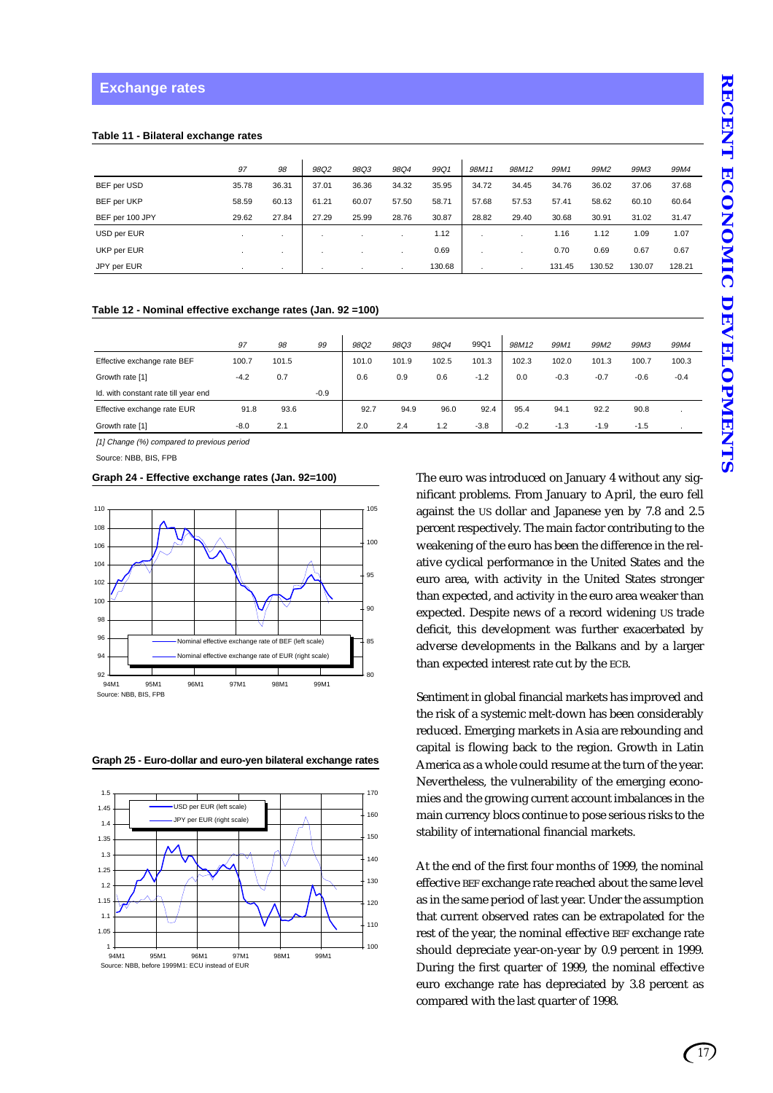#### **Table 11 - Bilateral exchange rates**

|                 | 97    | 98    | 98Q2  | 98Q3  | 98Q4  | 99Q1   | 98M11 | 98M12 | 99M1   | 99M2   | 99M3   | 99M4   |
|-----------------|-------|-------|-------|-------|-------|--------|-------|-------|--------|--------|--------|--------|
| BEF per USD     | 35.78 | 36.31 | 37.01 | 36.36 | 34.32 | 35.95  | 34.72 | 34.45 | 34.76  | 36.02  | 37.06  | 37.68  |
| BEF per UKP     | 58.59 | 60.13 | 61.21 | 60.07 | 57.50 | 58.71  | 57.68 | 57.53 | 57.41  | 58.62  | 60.10  | 60.64  |
| BEF per 100 JPY | 29.62 | 27.84 | 27.29 | 25.99 | 28.76 | 30.87  | 28.82 | 29.40 | 30.68  | 30.91  | 31.02  | 31.47  |
| USD per EUR     |       | . .   |       |       |       | 1.12   |       |       | 1.16   | 1.12   | 1.09   | 1.07   |
| UKP per EUR     |       |       |       |       |       | 0.69   | ٠.    |       | 0.70   | 0.69   | 0.67   | 0.67   |
| JPY per EUR     |       |       |       |       |       | 130.68 |       |       | 131.45 | 130.52 | 130.07 | 128.21 |

#### **Table 12 - Nominal effective exchange rates (Jan. 92 =100)**

|                                      | 97     | 98    | 99     | 98Q2  | 98Q3  | 98Q4           | 99Q1   | 98M12  | 99M1   | 99M2   | 99M3   | 99M4   |
|--------------------------------------|--------|-------|--------|-------|-------|----------------|--------|--------|--------|--------|--------|--------|
| Effective exchange rate BEF          | 100.7  | 101.5 |        | 101.0 | 101.9 | 102.5          | 101.3  | 102.3  | 102.0  | 101.3  | 100.7  | 100.3  |
| Growth rate [1]                      | $-4.2$ | 0.7   |        | 0.6   | 0.9   | 0.6            | $-1.2$ | 0.0    | $-0.3$ | $-0.7$ | $-0.6$ | $-0.4$ |
| Id. with constant rate till year end |        |       | $-0.9$ |       |       |                |        |        |        |        |        |        |
| Effective exchange rate EUR          | 91.8   | 93.6  |        | 92.7  | 94.9  | 96.0           | 92.4   | 95.4   | 94.1   | 92.2   | 90.8   |        |
| Growth rate [1]                      | $-8.0$ | 2.1   |        | 2.0   | 2.4   | $\overline{2}$ | $-3.8$ | $-0.2$ | $-1.3$ | $-1.9$ | $-1.5$ |        |

[1] Change (%) compared to previous period

Source: NBB, BIS, FPB

#### **Graph 24 - Effective exchange rates (Jan. 92=100)**



**Graph 25 - Euro-dollar and euro-yen bilateral exchange rates**



The euro was introduced on January 4 without any significant problems. From January to April, the euro fell against the US dollar and Japanese yen by 7.8 and 2.5 percent respectively. The main factor contributing to the weakening of the euro has been the difference in the relative cyclical performance in the United States and the euro area, with activity in the United States stronger than expected, and activity in the euro area weaker than expected. Despite news of a record widening US trade deficit, this development was further exacerbated by adverse developments in the Balkans and by a larger than expected interest rate cut by the ECB.

Sentiment in global financial markets has improved and the risk of a systemic melt-down has been considerably reduced. Emerging markets in Asia are rebounding and capital is flowing back to the region. Growth in Latin America as a whole could resume at the turn of the year. Nevertheless, the vulnerability of the emerging economies and the growing current account imbalances in the main currency blocs continue to pose serious risks to the stability of international financial markets.

At the end of the first four months of 1999, the nominal effective BEF exchange rate reached about the same level as in the same period of last year. Under the assumption that current observed rates can be extrapolated for the rest of the year, the nominal effective BEF exchange rate should depreciate year-on-year by 0.9 percent in 1999. During the first quarter of 1999, the nominal effective euro exchange rate has depreciated by 3.8 percent as compared with the last quarter of 1998.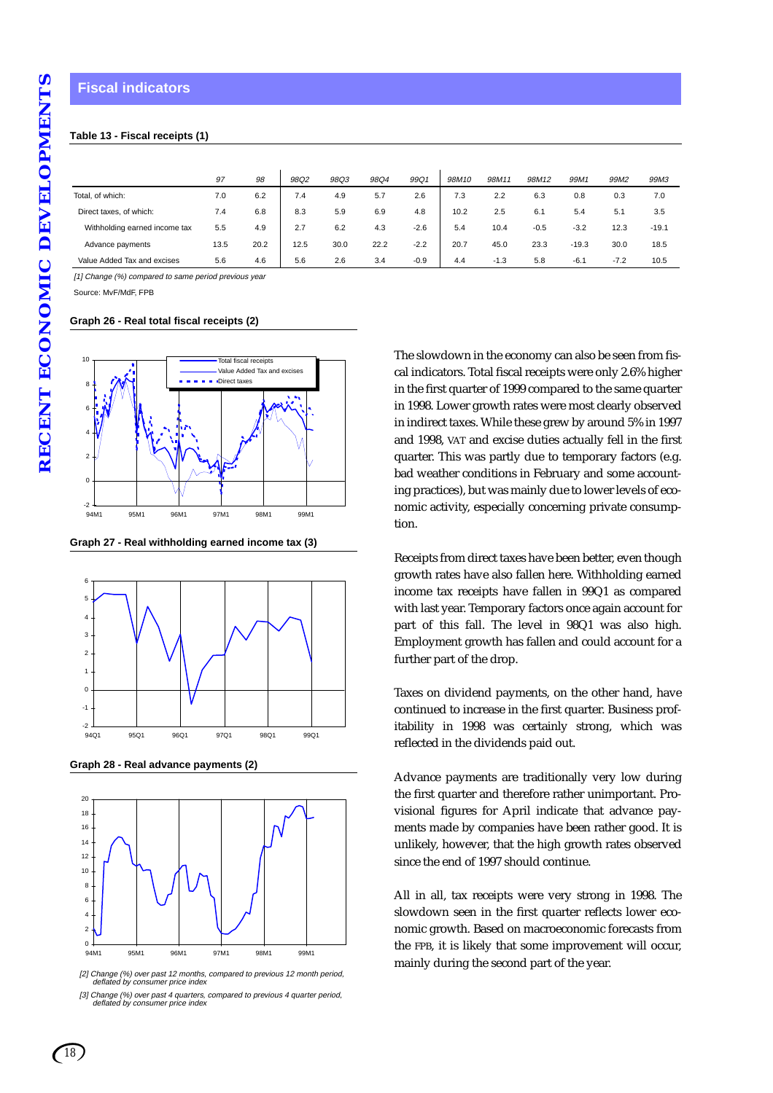# **Fiscal indicators**

# **Table 13 - Fiscal receipts (1)**

|                               | 97   | 98   | 98Q2 | 98Q3 | 98Q4 | 99Q1   | 98M10 | 98M11  | 98M12  | 99M1    | 99M2   | 99M3    |
|-------------------------------|------|------|------|------|------|--------|-------|--------|--------|---------|--------|---------|
| Total, of which:              | 7.0  | 6.2  | 7.4  | 4.9  | 5.7  | 2.6    | 7.3   | 2.2    | 6.3    | 0.8     | 0.3    | 7.0     |
| Direct taxes, of which:       | 7.4  | 6.8  | 8.3  | 5.9  | 6.9  | 4.8    | 10.2  | 2.5    | 6.1    | 5.4     | 5.1    | 3.5     |
| Withholding earned income tax | 5.5  | 4.9  | 2.7  | 6.2  | 4.3  | $-2.6$ | 5.4   | 10.4   | $-0.5$ | $-3.2$  | 12.3   | $-19.1$ |
| Advance payments              | 13.5 | 20.2 | 12.5 | 30.0 | 22.2 | $-2.2$ | 20.7  | 45.0   | 23.3   | $-19.3$ | 30.0   | 18.5    |
| Value Added Tax and excises   | 5.6  | 4.6  | 5.6  | 2.6  | 3.4  | $-0.9$ | 4.4   | $-1.3$ | 5.8    | $-6.1$  | $-7.2$ | 10.5    |

[1] Change (%) compared to same period previous year

Source: MvF/MdF, FPB

#### **Graph 26 - Real total fiscal receipts (2)**



**Graph 27 - Real withholding earned income tax (3)**



**Graph 28 - Real advance payments (2)**



[2] Change (%) over past 12 months, compared to previous 12 month period, deflated by consumer price index

The slowdown in the economy can also be seen from fiscal indicators. Total fiscal receipts were only 2.6% higher in the first quarter of 1999 compared to the same quarter in 1998. Lower growth rates were most clearly observed in indirect taxes. While these grew by around 5% in 1997 and 1998, VAT and excise duties actually fell in the first quarter. This was partly due to temporary factors (e.g. bad weather conditions in February and some accounting practices), but was mainly due to lower levels of economic activity, especially concerning private consumption.

Receipts from direct taxes have been better, even though growth rates have also fallen here. Withholding earned income tax receipts have fallen in 99Q1 as compared with last year. Temporary factors once again account for part of this fall. The level in 98Q1 was also high. Employment growth has fallen and could account for a further part of the drop.

Taxes on dividend payments, on the other hand, have continued to increase in the first quarter. Business profitability in 1998 was certainly strong, which was reflected in the dividends paid out.

Advance payments are traditionally very low during the first quarter and therefore rather unimportant. Provisional figures for April indicate that advance payments made by companies have been rather good. It is unlikely, however, that the high growth rates observed since the end of 1997 should continue.

All in all, tax receipts were very strong in 1998. The slowdown seen in the first quarter reflects lower economic growth. Based on macroeconomic forecasts from the FPB, it is likely that some improvement will occur, mainly during the second part of the year.

<sup>[3]</sup> Change (%) over past 4 quarters, compared to previous 4 quarter period, deflated by consumer price index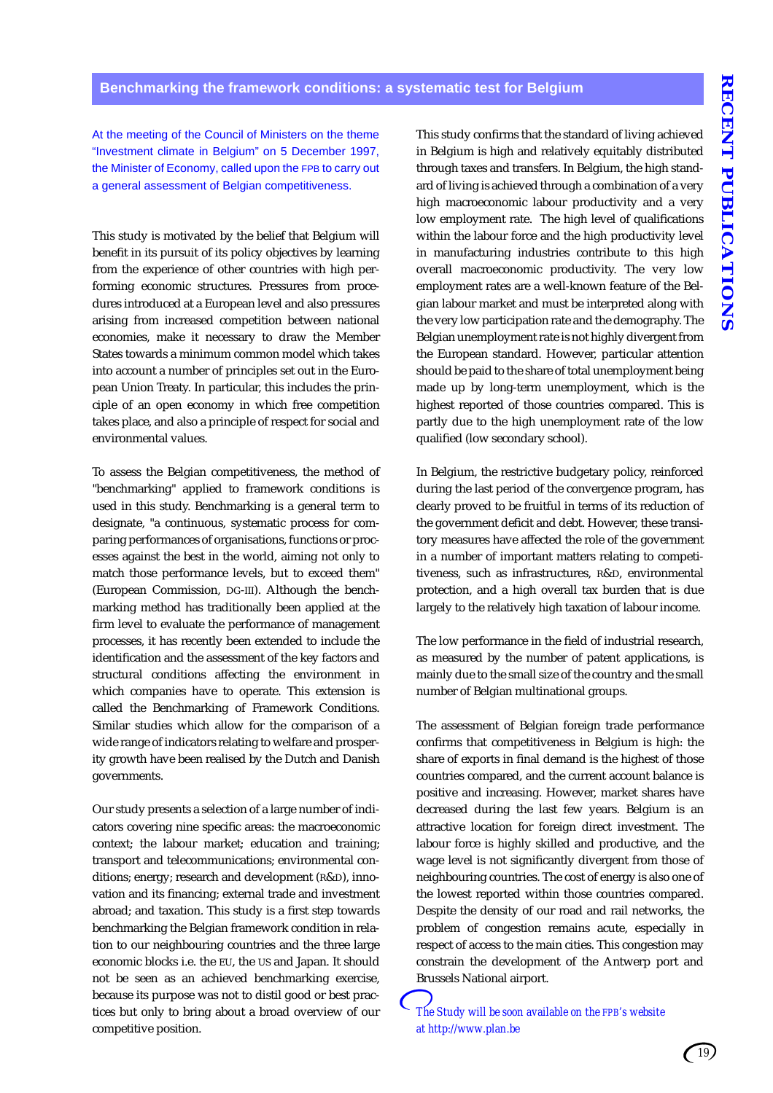At the meeting of the Council of Ministers on the theme "Investment climate in Belgium" on 5 December 1997, the Minister of Economy, called upon the FPB to carry out a general assessment of Belgian competitiveness.

This study is motivated by the belief that Belgium will benefit in its pursuit of its policy objectives by learning from the experience of other countries with high performing economic structures. Pressures from procedures introduced at a European level and also pressures arising from increased competition between national economies, make it necessary to draw the Member States towards a minimum common model which takes into account a number of principles set out in the European Union Treaty. In particular, this includes the principle of an open economy in which free competition takes place, and also a principle of respect for social and environmental values.

To assess the Belgian competitiveness, the method of "benchmarking" applied to framework conditions is used in this study. Benchmarking is a general term to designate, "a continuous, systematic process for comparing performances of organisations, functions or processes against the best in the world, aiming not only to match those performance levels, but to exceed them" (European Commission, DG-III). Although the benchmarking method has traditionally been applied at the firm level to evaluate the performance of management processes, it has recently been extended to include the identification and the assessment of the key factors and structural conditions affecting the environment in which companies have to operate. This extension is called the Benchmarking of Framework Conditions. Similar studies which allow for the comparison of a wide range of indicators relating to welfare and prosperity growth have been realised by the Dutch and Danish governments.

Our study presents a selection of a large number of indicators covering nine specific areas: the macroeconomic context; the labour market; education and training; transport and telecommunications; environmental conditions; energy; research and development (R&D), innovation and its financing; external trade and investment abroad; and taxation. This study is a first step towards benchmarking the Belgian framework condition in relation to our neighbouring countries and the three large economic blocks i.e. the EU, the US and Japan. It should not be seen as an achieved benchmarking exercise, because its purpose was not to distil good or best practices but only to bring about a broad overview of our competitive position.

This study confirms that the standard of living achieved in Belgium is high and relatively equitably distributed through taxes and transfers. In Belgium, the high standard of living is achieved through a combination of a very high macroeconomic labour productivity and a very low employment rate. The high level of qualifications within the labour force and the high productivity level in manufacturing industries contribute to this high overall macroeconomic productivity. The very low employment rates are a well-known feature of the Belgian labour market and must be interpreted along with the very low participation rate and the demography. The Belgian unemployment rate is not highly divergent from the European standard. However, particular attention should be paid to the share of total unemployment being made up by long-term unemployment, which is the highest reported of those countries compared. This is partly due to the high unemployment rate of the low qualified (low secondary school).

In Belgium, the restrictive budgetary policy, reinforced during the last period of the convergence program, has clearly proved to be fruitful in terms of its reduction of the government deficit and debt. However, these transitory measures have affected the role of the government in a number of important matters relating to competitiveness, such as infrastructures, R&D, environmental protection, and a high overall tax burden that is due largely to the relatively high taxation of labour income.

The low performance in the field of industrial research, as measured by the number of patent applications, is mainly due to the small size of the country and the small number of Belgian multinational groups.

The assessment of Belgian foreign trade performance confirms that competitiveness in Belgium is high: the share of exports in final demand is the highest of those countries compared, and the current account balance is positive and increasing. However, market shares have decreased during the last few years. Belgium is an attractive location for foreign direct investment. The labour force is highly skilled and productive, and the wage level is not significantly divergent from those of neighbouring countries. The cost of energy is also one of the lowest reported within those countries compared. Despite the density of our road and rail networks, the problem of congestion remains acute, especially in respect of access to the main cities. This congestion may constrain the development of the Antwerp port and Brussels National airport.

*The Study will be soon available on the FPB's website at http://www.plan.be*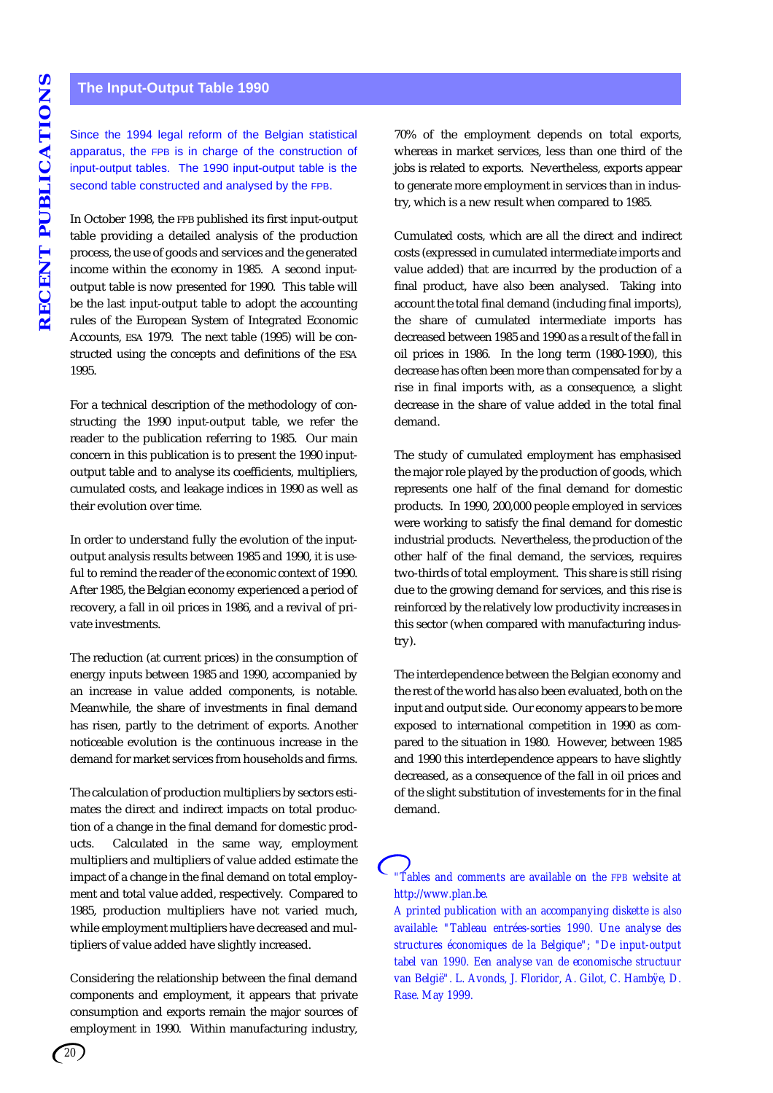# **The Input-Output Table 1990**

Since the 1994 legal reform of the Belgian statistical apparatus, the FPB is in charge of the construction of input-output tables. The 1990 input-output table is the second table constructed and analysed by the FPB.

In October 1998, the FPB published its first input-output table providing a detailed analysis of the production process, the use of goods and services and the generated income within the economy in 1985. A second inputoutput table is now presented for 1990. This table will be the last input-output table to adopt the accounting rules of the European System of Integrated Economic Accounts, ESA 1979. The next table (1995) will be constructed using the concepts and definitions of the ESA 1995.

For a technical description of the methodology of constructing the 1990 input-output table, we refer the reader to the publication referring to 1985. Our main concern in this publication is to present the 1990 inputoutput table and to analyse its coefficients, multipliers, cumulated costs, and leakage indices in 1990 as well as their evolution over time.

In order to understand fully the evolution of the inputoutput analysis results between 1985 and 1990, it is useful to remind the reader of the economic context of 1990. After 1985, the Belgian economy experienced a period of recovery, a fall in oil prices in 1986, and a revival of private investments.

The reduction (at current prices) in the consumption of energy inputs between 1985 and 1990, accompanied by an increase in value added components, is notable. Meanwhile, the share of investments in final demand has risen, partly to the detriment of exports. Another noticeable evolution is the continuous increase in the demand for market services from households and firms.

The calculation of production multipliers by sectors estimates the direct and indirect impacts on total production of a change in the final demand for domestic products. Calculated in the same way, employment multipliers and multipliers of value added estimate the impact of a change in the final demand on total employment and total value added, respectively. Compared to 1985, production multipliers have not varied much, while employment multipliers have decreased and multipliers of value added have slightly increased.

Considering the relationship between the final demand components and employment, it appears that private consumption and exports remain the major sources of employment in 1990. Within manufacturing industry,

70% of the employment depends on total exports, whereas in market services, less than one third of the jobs is related to exports. Nevertheless, exports appear to generate more employment in services than in industry, which is a new result when compared to 1985.

Cumulated costs, which are all the direct and indirect costs (expressed in cumulated intermediate imports and value added) that are incurred by the production of a final product, have also been analysed. Taking into account the total final demand (including final imports), the share of cumulated intermediate imports has decreased between 1985 and 1990 as a result of the fall in oil prices in 1986. In the long term (1980-1990), this decrease has often been more than compensated for by a rise in final imports with, as a consequence, a slight decrease in the share of value added in the total final demand.

The study of cumulated employment has emphasised the major role played by the production of goods, which represents one half of the final demand for domestic products. In 1990, 200,000 people employed in services were working to satisfy the final demand for domestic industrial products. Nevertheless, the production of the other half of the final demand, the services, requires two-thirds of total employment. This share is still rising due to the growing demand for services, and this rise is reinforced by the relatively low productivity increases in this sector (when compared with manufacturing industry).

The interdependence between the Belgian economy and the rest of the world has also been evaluated, both on the input and output side. Our economy appears to be more exposed to international competition in 1990 as compared to the situation in 1980. However, between 1985 and 1990 this interdependence appears to have slightly decreased, as a consequence of the fall in oil prices and of the slight substitution of investements for in the final demand.

*"Tables and comments are available on the FPB website at http://www.plan.be.*

*A printed publication with an accompanying diskette is also available: "Tableau entrées-sorties 1990. Une analyse des structures économiques de la Belgique"; "De input-output tabel van 1990. Een analyse van de economische structuur van België". L. Avonds, J. Floridor, A. Gilot, C. Hambÿe, D. Rase. May 1999.*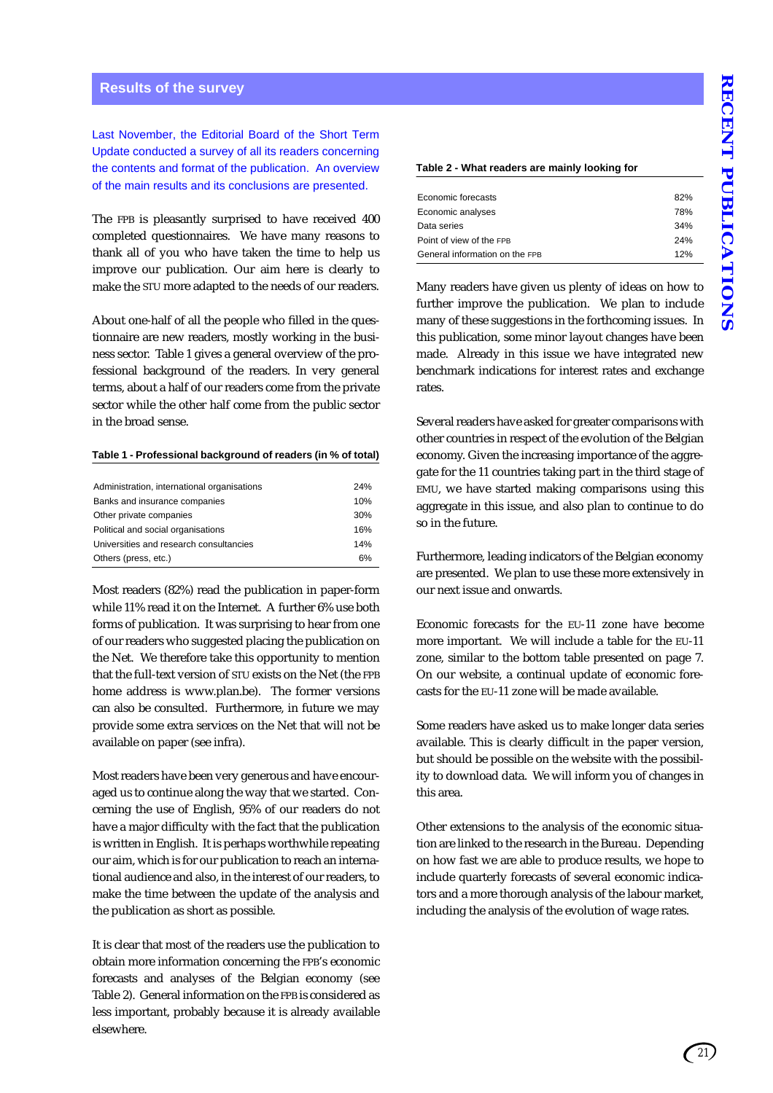#### **Results of the survey**

Last November, the Editorial Board of the Short Term Update conducted a survey of all its readers concerning the contents and format of the publication. An overview of the main results and its conclusions are presented.

The FPB is pleasantly surprised to have received 400 completed questionnaires. We have many reasons to thank all of you who have taken the time to help us improve our publication. Our aim here is clearly to make the STU more adapted to the needs of our readers.

About one-half of all the people who filled in the questionnaire are new readers, mostly working in the business sector. Table 1 gives a general overview of the professional background of the readers. In very general terms, about a half of our readers come from the private sector while the other half come from the public sector in the broad sense.

#### **Table 1 - Professional background of readers (in % of total)**

| Administration, international organisations | 24% |
|---------------------------------------------|-----|
| Banks and insurance companies               | 10% |
| Other private companies                     | 30% |
| Political and social organisations          | 16% |
| Universities and research consultancies     | 14% |
| Others (press, etc.)                        | 6%  |

Most readers (82%) read the publication in paper-form while 11% read it on the Internet. A further 6% use both forms of publication. It was surprising to hear from one of our readers who suggested placing the publication on the Net. We therefore take this opportunity to mention that the full-text version of STU exists on the Net (the FPB home address is www.plan.be). The former versions can also be consulted. Furthermore, in future we may provide some extra services on the Net that will not be available on paper (see infra).

Most readers have been very generous and have encouraged us to continue along the way that we started. Concerning the use of English, 95% of our readers do not have a major difficulty with the fact that the publication is written in English. It is perhaps worthwhile repeating our aim, which is for our publication to reach an international audience and also, in the interest of our readers, to make the time between the update of the analysis and the publication as short as possible.

It is clear that most of the readers use the publication to obtain more information concerning the FPB's economic forecasts and analyses of the Belgian economy (see Table 2). General information on the FPB is considered as less important, probably because it is already available elsewhere.

#### **Table 2 - What readers are mainly looking for**

| Economic forecasts             | 82% |
|--------------------------------|-----|
| Economic analyses              | 78% |
| Data series                    | 34% |
| Point of view of the FPB       | 24% |
| General information on the FPB | 12% |

Many readers have given us plenty of ideas on how to further improve the publication. We plan to include many of these suggestions in the forthcoming issues. In this publication, some minor layout changes have been made. Already in this issue we have integrated new benchmark indications for interest rates and exchange rates.

Several readers have asked for greater comparisons with other countries in respect of the evolution of the Belgian economy. Given the increasing importance of the aggregate for the 11 countries taking part in the third stage of EMU, we have started making comparisons using this aggregate in this issue, and also plan to continue to do so in the future.

Furthermore, leading indicators of the Belgian economy are presented. We plan to use these more extensively in our next issue and onwards.

Economic forecasts for the EU-11 zone have become more important. We will include a table for the EU-11 zone, similar to the bottom table presented on page 7. On our website, a continual update of economic forecasts for the EU-11 zone will be made available.

Some readers have asked us to make longer data series available. This is clearly difficult in the paper version, but should be possible on the website with the possibility to download data. We will inform you of changes in this area.

Other extensions to the analysis of the economic situation are linked to the research in the Bureau. Depending on how fast we are able to produce results, we hope to include quarterly forecasts of several economic indicators and a more thorough analysis of the labour market, including the analysis of the evolution of wage rates.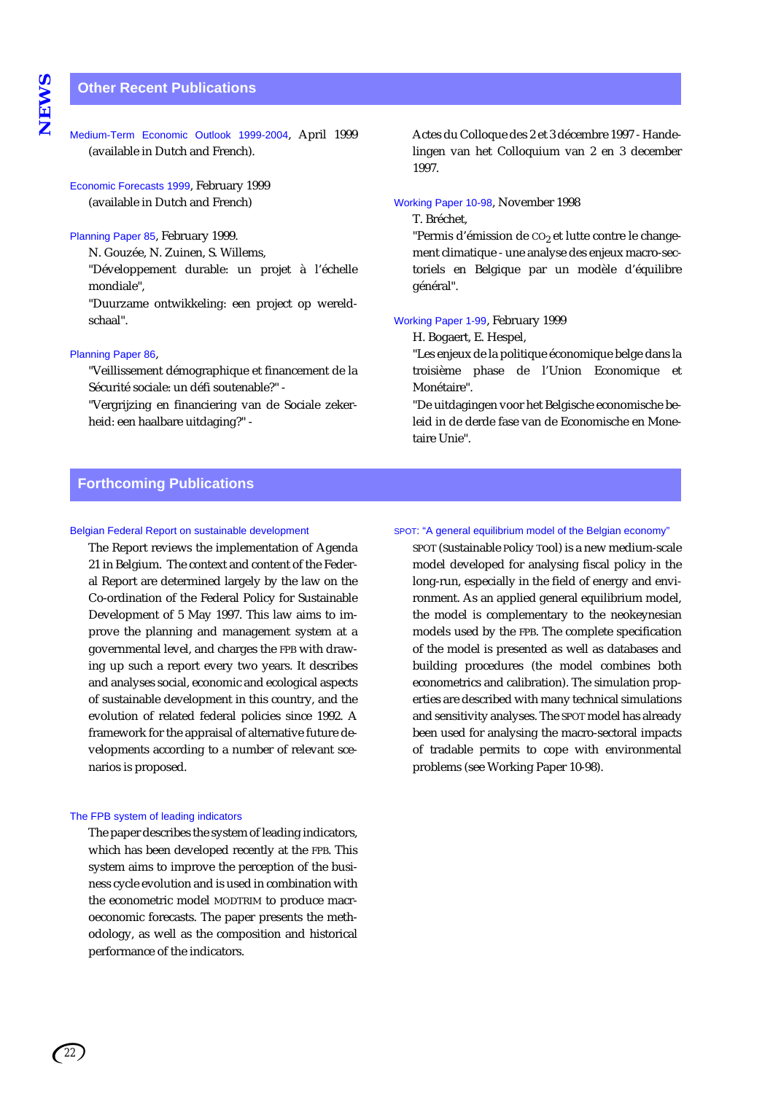# **Other Recent Publications**

Medium-Term Economic Outlook 1999-2004, April 1999 (available in Dutch and French).

Economic Forecasts 1999, February 1999 (available in Dutch and French)

#### Planning Paper 85, February 1999.

N. Gouzée, N. Zuinen, S. Willems,

"Développement durable: un projet à l'échelle mondiale",

"Duurzame ontwikkeling: een project op wereldschaal".

#### Planning Paper 86,

"Veillissement démographique et financement de la Sécurité sociale: un défi soutenable?" -

"Vergrijzing en financiering van de Sociale zekerheid: een haalbare uitdaging?" -

Actes du Colloque des 2 et 3 décembre 1997 - Handelingen van het Colloquium van 2 en 3 december 1997.

#### Working Paper 10-98, November 1998

#### T. Bréchet,

"Permis d'émission de CO<sub>2</sub> et lutte contre le changement climatique - une analyse des enjeux macro-sectoriels en Belgique par un modèle d'équilibre général".

#### Working Paper 1-99, February 1999

H. Bogaert, E. Hespel,

"Les enjeux de la politique économique belge dans la troisième phase de l'Union Economique et Monétaire".

"De uitdagingen voor het Belgische economische beleid in de derde fase van de Economische en Monetaire Unie".

# **Forthcoming Publications**

#### Belgian Federal Report on sustainable development

The Report reviews the implementation of Agenda 21 in Belgium. The context and content of the Federal Report are determined largely by the law on the Co-ordination of the Federal Policy for Sustainable Development of 5 May 1997. This law aims to improve the planning and management system at a governmental level, and charges the FPB with drawing up such a report every two years. It describes and analyses social, economic and ecological aspects of sustainable development in this country, and the evolution of related federal policies since 1992. A framework for the appraisal of alternative future developments according to a number of relevant scenarios is proposed.

#### The FPB system of leading indicators

The paper describes the system of leading indicators, which has been developed recently at the FPB. This system aims to improve the perception of the business cycle evolution and is used in combination with the econometric model MODTRIM to produce macroeconomic forecasts. The paper presents the methodology, as well as the composition and historical performance of the indicators.

#### SPOT: "A general equilibrium model of the Belgian economy"

SPOT (Sustainable Policy Tool) is a new medium-scale model developed for analysing fiscal policy in the long-run, especially in the field of energy and environment. As an applied general equilibrium model, the model is complementary to the neokeynesian models used by the FPB. The complete specification of the model is presented as well as databases and building procedures (the model combines both econometrics and calibration). The simulation properties are described with many technical simulations and sensitivity analyses. The SPOT model has already been used for analysing the macro-sectoral impacts of tradable permits to cope with environmental problems (see Working Paper 10-98).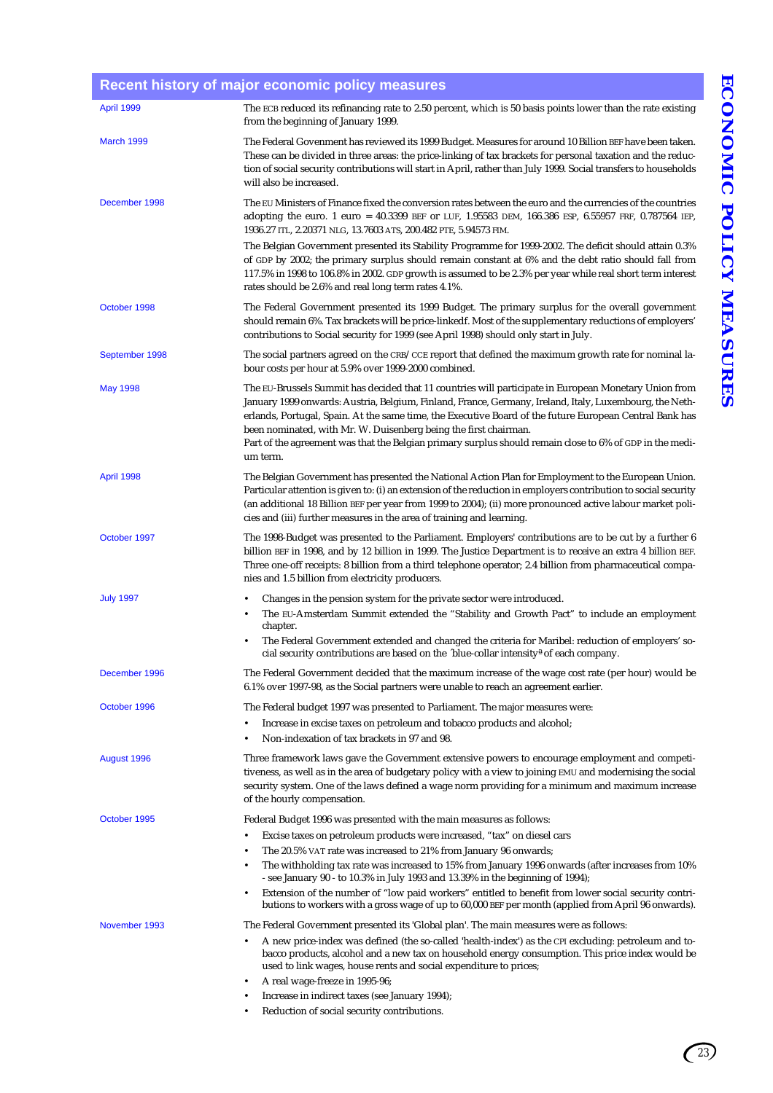|                  | Recent mstory or major economic policy measures                                                                                                                                                                                                                                                                                                                                                                                                                                                                         |
|------------------|-------------------------------------------------------------------------------------------------------------------------------------------------------------------------------------------------------------------------------------------------------------------------------------------------------------------------------------------------------------------------------------------------------------------------------------------------------------------------------------------------------------------------|
| April 1999       | The ECB reduced its refinancing rate to 2.50 percent, which is 50 basis points lower than the rate existing<br>from the beginning of January 1999.                                                                                                                                                                                                                                                                                                                                                                      |
| March 1999       | The Federal Govenment has reviewed its 1999 Budget. Measures for around 10 Billion BEF have been taken.<br>These can be divided in three areas: the price-linking of tax brackets for personal taxation and the reduc-<br>tion of social security contributions will start in April, rather than July 1999. Social transfers to households<br>will also be increased.                                                                                                                                                   |
| December 1998    | The EU Ministers of Finance fixed the conversion rates between the euro and the currencies of the countries<br>adopting the euro. 1 euro = 40.3399 BEF or LUF, 1.95583 DEM, 166.386 ESP, 6.55957 FRF, 0.787564 IEP,<br>1936.27 ITL, 2.20371 NLG, 13.7603 ATS, 200.482 PTE, 5.94573 FIM.                                                                                                                                                                                                                                 |
|                  | The Belgian Government presented its Stability Programme for 1999-2002. The deficit should attain 0.3%<br>of GDP by 2002; the primary surplus should remain constant at 6% and the debt ratio should fall from<br>117.5% in 1998 to 106.8% in 2002. GDP growth is assumed to be 2.3% per year while real short term interest<br>rates should be 2.6% and real long term rates 4.1%.                                                                                                                                     |
| October 1998     | The Federal Government presented its 1999 Budget. The primary surplus for the overall government<br>should remain 6%. Tax brackets will be price-linkedf. Most of the supplementary reductions of employers'<br>contributions to Social security for 1999 (see April 1998) should only start in July.                                                                                                                                                                                                                   |
| September 1998   | The social partners agreed on the $CRB/CCE$ report that defined the maximum growth rate for nominal la-<br>bour costs per hour at 5.9% over 1999-2000 combined.                                                                                                                                                                                                                                                                                                                                                         |
| May 1998         | The EU-Brussels Summit has decided that 11 countries will participate in European Monetary Union from<br>January 1999 onwards: Austria, Belgium, Finland, France, Germany, Ireland, Italy, Luxembourg, the Neth-<br>erlands, Portugal, Spain. At the same time, the Executive Board of the future European Central Bank has<br>been nominated, with Mr. W. Duisenberg being the first chairman.<br>Part of the agreement was that the Belgian primary surplus should remain close to 6% of GDP in the medi-<br>um term. |
| April 1998       | The Belgian Government has presented the National Action Plan for Employment to the European Union.<br>Particular attention is given to: (i) an extension of the reduction in employers contribution to social security<br>(an additional 18 Billion BEF per year from 1999 to 2004); (ii) more pronounced active labour market poli-<br>cies and (iii) further measures in the area of training and learning.                                                                                                          |
| October 1997     | The 1998-Budget was presented to the Parliament. Employers' contributions are to be cut by a further 6<br>billion BEF in 1998, and by 12 billion in 1999. The Justice Department is to receive an extra 4 billion BEF.<br>Three one-off receipts: 8 billion from a third telephone operator; 2.4 billion from pharmaceutical compa-<br>nies and 1.5 billion from electricity producers.                                                                                                                                 |
| <b>July 1997</b> | Changes in the pension system for the private sector were introduced.<br>The EU-Amsterdam Summit extended the "Stability and Growth Pact" to include an employment<br>chapter.<br>The Federal Government extended and changed the criteria for Maribel: reduction of employers' so-<br>$\bullet$<br>cial security contributions are based on the 'blue-collar intensity <sup>a</sup> of each company.                                                                                                                   |
| December 1996    | The Federal Government decided that the maximum increase of the wage cost rate (per hour) would be<br>6.1% over 1997-98, as the Social partners were unable to reach an agreement earlier.                                                                                                                                                                                                                                                                                                                              |
| October 1996     | The Federal budget 1997 was presented to Parliament. The major measures were:                                                                                                                                                                                                                                                                                                                                                                                                                                           |
|                  | Increase in excise taxes on petroleum and tobacco products and alcohol;<br>$\bullet$<br>Non-indexation of tax brackets in 97 and 98.<br>$\bullet$                                                                                                                                                                                                                                                                                                                                                                       |
| August 1996      | Three framework laws gave the Government extensive powers to encourage employment and competi-<br>tiveness, as well as in the area of budgetary policy with a view to joining EMU and modernising the social<br>security system. One of the laws defined a wage norm providing for a minimum and maximum increase<br>of the hourly compensation.                                                                                                                                                                        |
| October 1995     | Federal Budget 1996 was presented with the main measures as follows:                                                                                                                                                                                                                                                                                                                                                                                                                                                    |
|                  | Excise taxes on petroleum products were increased, "tax" on diesel cars<br>$\bullet$                                                                                                                                                                                                                                                                                                                                                                                                                                    |
|                  | The 20.5% VAT rate was increased to 21% from January 96 onwards;<br>$\bullet$<br>The withholding tax rate was increased to 15% from January 1996 onwards (after increases from 10%                                                                                                                                                                                                                                                                                                                                      |
|                  | - see January 90 - to 10.3% in July 1993 and 13.39% in the beginning of 1994);<br>Extension of the number of "low paid workers" entitled to benefit from lower social security contri-<br>$\bullet$<br>butions to workers with a gross wage of up to 60,000 BEF per month (applied from April 96 onwards).                                                                                                                                                                                                              |
| November 1993    | The Federal Government presented its 'Global plan'. The main measures were as follows:                                                                                                                                                                                                                                                                                                                                                                                                                                  |
|                  | A new price-index was defined (the so-called 'health-index') as the CPI excluding: petroleum and to-<br>bacco products, alcohol and a new tax on household energy consumption. This price index would be<br>used to link wages, house rents and social expenditure to prices;                                                                                                                                                                                                                                           |
|                  | A real wage-freeze in 1995-96;<br>Increase in indirect taxes (see January 1994);<br>$\bullet$                                                                                                                                                                                                                                                                                                                                                                                                                           |
|                  |                                                                                                                                                                                                                                                                                                                                                                                                                                                                                                                         |

**Recent history of major economic policy measures**

• Reduction of social security contributions.